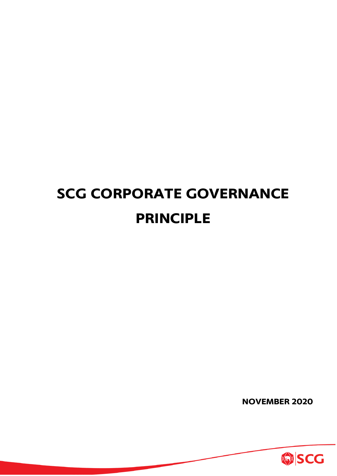# **SCG CORPORATE GOVERNANCE PRINCIPLE**

**NOVEMBER 2020**

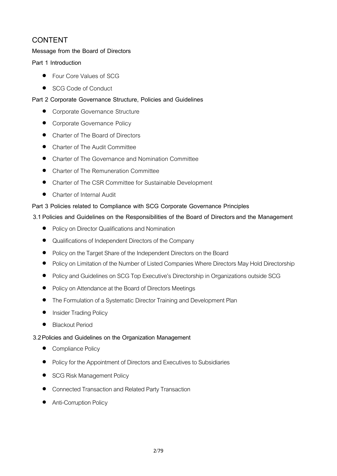# **CONTENT**

# **Message from the Board of Directors**

# **Part 1 Introduction**

- Four Core Values of SCG
- SCG Code of Conduct

# **Part 2 Corporate Governance Structure, Policies and Guidelines**

- Corporate Governance Structure
- Corporate Governance Policy
- Charter of The Board of Directors
- Charter of The Audit Committee
- Charter of The Governance and Nomination Committee
- Charter of The Remuneration Committee
- Charter of The CSR Committee for Sustainable Development
- Charter of Internal Audit

# **Part 3 Policies related to Compliance with SCG Corporate Governance Principles**

# **3.1 Policies and Guidelines on the Responsibilities of the Board of Directorsand the Management**

- Policy on Director Qualifications and Nomination
- Qualifications of Independent Directors of the Company
- Policy on the Target Share of the Independent Directors on the Board
- Policy on Limitation of the Number of Listed Companies Where Directors May Hold Directorship
- Policy and Guidelines on SCG Top Executive's Directorship in Organizations outside SCG
- Policy on Attendance at the Board of Directors Meetings
- The Formulation of a Systematic Director Training and Development Plan
- **Insider Trading Policy**
- **Blackout Period**

# **3.2Policies and Guidelines on the Organization Management**

- Compliance Policy
- Policy for the Appointment of Directors and Executives to Subsidiaries
- SCG Risk Management Policy
- Connected Transaction and Related Party Transaction
- Anti-Corruption Policy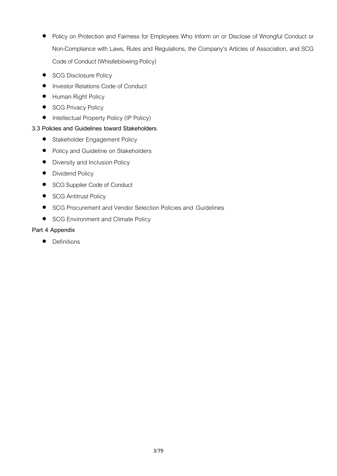- Policy on Protection and Fairness for Employees Who Inform on or Disclose of Wrongful Conduct or Non-Compliance with Laws, Rules and Regulations, the Company's Articles of Association, and SCG Code of Conduct (Whistleblowing Policy)
- SCG Disclosure Policy
- Investor Relations Code of Conduct
- Human Right Policy
- SCG Privacy Policy
- Intellectual Property Policy (IP Policy)

# **3.3 Policies and Guidelines toward Stakeholders**

- Stakeholder Engagement Policy
- Policy and Guideline on Stakeholders
- Diversity and Inclusion Policy
- Dividend Policy
- SCG Supplier Code of Conduct
- **•** SCG Antitrust Policy
- SCG Procurement and Vendor Selection Policies and Guidelines
- SCG Environment and Climate Policy

# **Part 4 Appendix**

• Definitions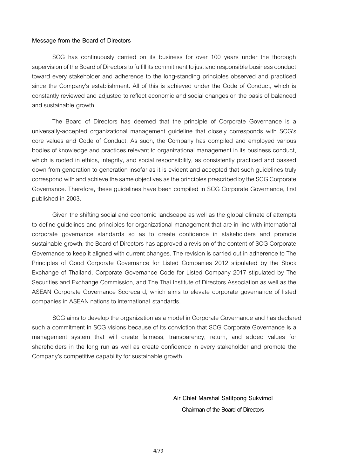#### **Message from the Board of Directors**

SCG has continuously carried on its business for over 100 years under the thorough supervision of the Board of Directors to fulfill its commitment to just and responsible business conduct toward every stakeholder and adherence to the long-standing principles observed and practiced since the Company's establishment. All of this is achieved under the Code of Conduct, which is constantly reviewed and adjusted to reflect economic and social changes on the basis of balanced and sustainable growth.

The Board of Directors has deemed that the principle of Corporate Governance is a universally-accepted organizational management guideline that closely corresponds with SCG's core values and Code of Conduct. As such, the Company has compiled and employed various bodies of knowledge and practices relevant to organizational management in its business conduct, which is rooted in ethics, integrity, and social responsibility, as consistently practiced and passed down from generation to generation insofar as it is evident and accepted that such guidelines truly correspond with and achieve the same objectives as the principles prescribed by the SCG Corporate Governance. Therefore, these guidelines have been compiled in SCG Corporate Governance, first published in 2003.

Given the shifting social and economic landscape as well as the global climate of attempts to define guidelines and principles for organizational management that are in line with international corporate governance standards so as to create confidence in stakeholders and promote sustainable growth, the Board of Directors has approved a revision of the content of SCG Corporate Governance to keep it aligned with current changes. The revision is carried out in adherence to The Principles of Good Corporate Governance for Listed Companies 2012 stipulated by the Stock Exchange of Thailand, Corporate Governance Code for Listed Company 2017 stipulated by The Securities and Exchange Commission, and The Thai Institute of Directors Association as well as the ASEAN Corporate Governance Scorecard, which aims to elevate corporate governance of listed companies in ASEAN nations to international standards.

SCG aims to develop the organization as a model in Corporate Governance and has declared such a commitment in SCG visions because of its conviction that SCG Corporate Governance is a management system that will create fairness, transparency, return, and added values for shareholders in the long run as well as create confidence in every stakeholder and promote the Company's competitive capability for sustainable growth.

> **Air Chief Marshal Satitpong Sukvimol Chairman of the Board of Directors**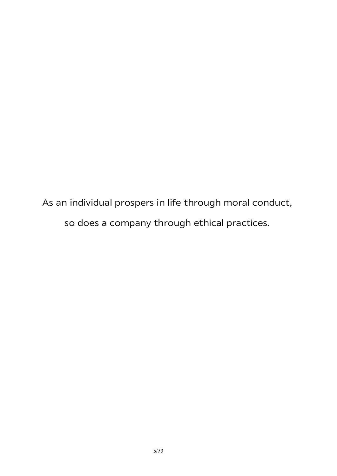As an individual prospers in life through moral conduct, so does a company through ethical practices.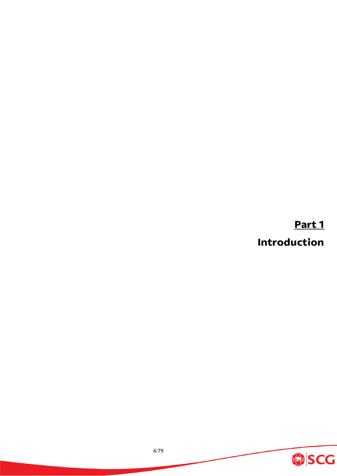**Part 1**

**Introduction**

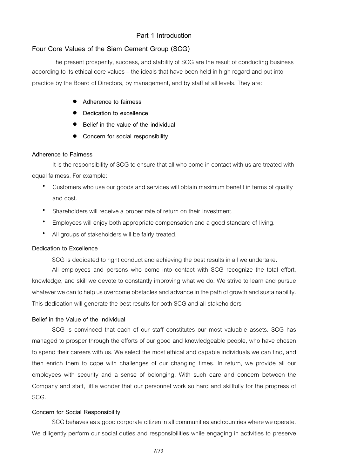# **Part 1 Introduction**

# **Four Core Values of the Siam Cement Group (SCG)**

The present prosperity, success, and stability of SCG are the result of conducting business according to its ethical core values – the ideals that have been held in high regard and put into practice by the Board of Directors, by management, and by staff at all levels. They are:

- **Adherence to fairness**
- **Dedication to excellence**
- **Belief in the value of the individual**
- **Concern for social responsibility**

#### **Adherence to Fairness**

It is the responsibility of SCG to ensure that all who come in contact with us are treated with equal fairness. For example:

- Customers who use our goods and services will obtain maximum benefit in terms of quality and cost.
- Shareholders will receive a proper rate of return on their investment.
- Employees will enjoy both appropriate compensation and a good standard of living.
- All groups of stakeholders will be fairly treated.

#### **Dedication to Excellence**

SCG is dedicated to right conduct and achieving the best results in all we undertake.

All employees and persons who come into contact with SCG recognize the total effort, knowledge, and skill we devote to constantly improving what we do. We strive to learn and pursue whatever we can to help us overcome obstacles and advance in the path of growth and sustainability. This dedication will generate the best results for both SCG and all stakeholders

#### **Belief in the Value of the Individual**

SCG is convinced that each of our staff constitutes our most valuable assets. SCG has managed to prosper through the efforts of our good and knowledgeable people, who have chosen to spend their careers with us. We select the most ethical and capable individuals we can find, and then enrich them to cope with challenges of our changing times. In return, we provide all our employees with security and a sense of belonging. With such care and concern between the Company and staff, little wonder that our personnel work so hard and skillfully for the progress of SCG.

#### **Concern for Social Responsibility**

SCG behaves as a good corporate citizen in all communities and countries where we operate. We diligently perform our social duties and responsibilities while engaging in activities to preserve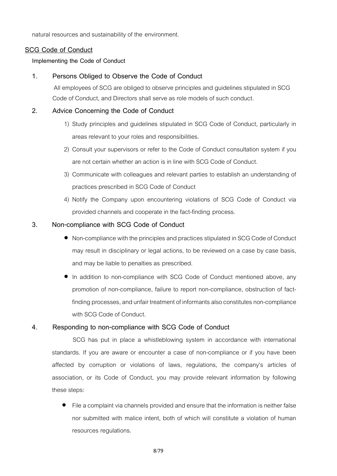natural resources and sustainability of the environment.

# **SCG Code of Conduct**

#### **Implementing the Code of Conduct**

# **1. Persons Obliged to Observe the Code of Conduct**

All employees of SCG are obliged to observe principles and guidelines stipulated in SCG Code of Conduct, and Directors shall serve as role models of such conduct.

# **2. Advice Concerning the Code of Conduct**

- 1) Study principles and guidelines stipulated in SCG Code of Conduct, particularly in areas relevant to your roles and responsibilities.
- 2) Consult your supervisors or refer to the Code of Conduct consultation system if you are not certain whether an action is in line with SCG Code of Conduct.
- 3) Communicate with colleagues and relevant parties to establish an understanding of practices prescribed in SCG Code of Conduct
- 4) Notify the Company upon encountering violations of SCG Code of Conduct via provided channels and cooperate in the fact-finding process.

# **3. Non-compliance with SCG Code of Conduct**

- Non-compliance with the principles and practices stipulated in SCG Code of Conduct may result in disciplinary or legal actions, to be reviewed on a case by case basis, and may be liable to penalties as prescribed.
- In addition to non-compliance with SCG Code of Conduct mentioned above, any promotion of non-compliance, failure to report non-compliance, obstruction of factfinding processes, and unfair treatment of informants also constitutes non-compliance with SCG Code of Conduct.

#### **4. Responding to non-compliance with SCG Code of Conduct**

SCG has put in place a whistleblowing system in accordance with international standards. If you are aware or encounter a case of non-compliance or if you have been affected by corruption or violations of laws, regulations, the company's articles of association, or its Code of Conduct, you may provide relevant information by following these steps:

 $\bullet$  File a complaint via channels provided and ensure that the information is neither false nor submitted with malice intent, both of which will constitute a violation of human resources regulations.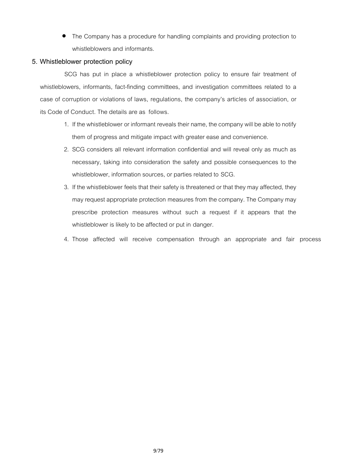• The Company has a procedure for handling complaints and providing protection to whistleblowers and informants.

# **5. Whistleblower protection policy**

SCG has put in place a whistleblower protection policy to ensure fair treatment of whistleblowers, informants, fact-finding committees, and investigation committees related to a case of corruption or violations of laws, regulations, the company's articles of association, or its Code of Conduct. The details are as follows.

- 1. If the whistleblower or informant reveals their name, the company will be able to notify them of progress and mitigate impact with greater ease and convenience.
- 2. SCG considers all relevant information confidential and will reveal only as much as necessary, taking into consideration the safety and possible consequences to the whistleblower, information sources, or parties related to SCG.
- 3. If the whistleblower feels that their safety is threatened or that they may affected, they may request appropriate protection measures from the company. The Company may prescribe protection measures without such a request if it appears that the whistleblower is likely to be affected or put in danger.
- 4. Those affected will receive compensation through an appropriate and fair process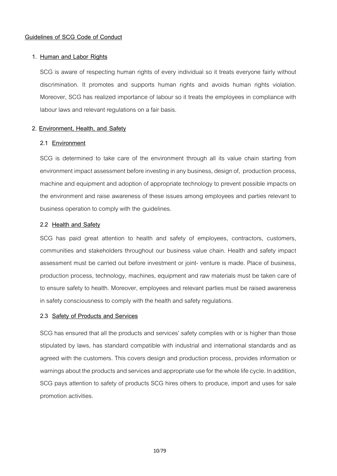# **1. Human and Labor Rights**

SCG is aware of respecting human rights of every individual so it treats everyone fairly without discrimination. It promotes and supports human rights and avoids human rights violation. Moreover, SCG has realized importance of labour so it treats the employees in compliance with labour laws and relevant regulations on a fair basis.

# **2. Environment, Health, and Safety**

# **2.1 Environment**

SCG is determined to take care of the environment through all its value chain starting from environment impact assessment before investing in any business, design of, production process, machine and equipment and adoption of appropriate technology to prevent possible impacts on the environment and raise awareness of these issues among employees and parties relevant to business operation to comply with the guidelines.

# **2.2 Health and Safety**

SCG has paid great attention to health and safety of employees, contractors, customers, communities and stakeholders throughout our business value chain. Health and safety impact assessment must be carried out before investment or joint- venture is made. Place of business, production process, technology, machines, equipment and raw materials must be taken care of to ensure safety to health. Moreover, employees and relevant parties must be raised awareness in safety consciousness to comply with the health and safety regulations.

# **2.3 Safety of Products and Services**

SCG has ensured that all the products and services' safety complies with or is higher than those stipulated by laws, has standard compatible with industrial and international standards and as agreed with the customers. This covers design and production process, provides information or warnings about the products and services and appropriate use for the whole life cycle. In addition, SCG pays attention to safety of products SCG hires others to produce, import and uses for sale promotion activities.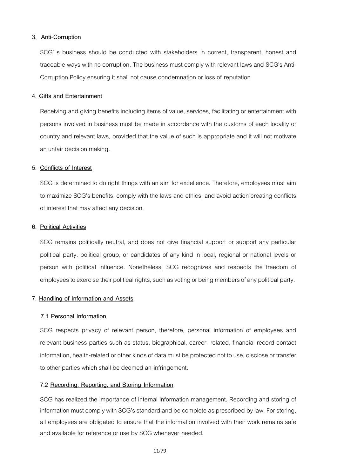#### **3. Anti-Corruption**

SCG' s business should be conducted with stakeholders in correct, transparent, honest and traceable ways with no corruption. The business must comply with relevant laws and SCG's Anti-Corruption Policy ensuring it shall not cause condemnation or loss of reputation.

#### **4. Gifts and Entertainment**

Receiving and giving benefits including items of value, services, facilitating or entertainment with persons involved in business must be made in accordance with the customs of each locality or country and relevant laws, provided that the value of such is appropriate and it will not motivate an unfair decision making.

# **5. Conflicts of Interest**

SCG is determined to do right things with an aim for excellence. Therefore, employees must aim to maximize SCG's benefits, comply with the laws and ethics, and avoid action creating conflicts of interest that may affect any decision.

#### **6. Political Activities**

SCG remains politically neutral, and does not give financial support or support any particular political party, political group, or candidates of any kind in local, regional or national levels or person with political influence. Nonetheless, SCG recognizes and respects the freedom of employees to exercise their political rights, such as voting or being members of any political party.

#### **7. Handling of Information and Assets**

#### **7.1 Personal Information**

SCG respects privacy of relevant person, therefore, personal information of employees and relevant business parties such as status, biographical, career- related, financial record contact information, health-related or other kinds of data must be protected not to use, disclose or transfer to other parties which shall be deemed an infringement.

#### **7.2 Recording, Reporting, and Storing Information**

SCG has realized the importance of internal information management. Recording and storing of information must comply with SCG's standard and be complete as prescribed by law. For storing, all employees are obligated to ensure that the information involved with their work remains safe and available for reference or use by SCG whenever needed.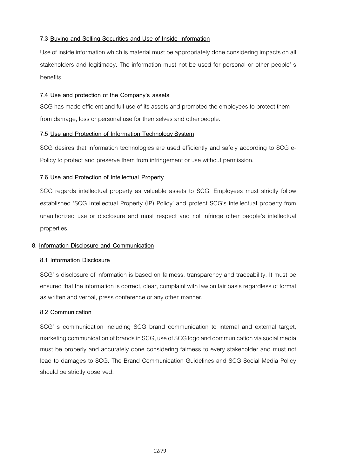# **7.3 Buying and Selling Securities and Use of Inside Information**

Use of inside information which is material must be appropriately done considering impacts on all stakeholders and legitimacy. The information must not be used for personal or other people' s benefits.

# **7.4 Use and protection of the Company's assets**

SCG has made efficient and full use of its assets and promoted the employees to protect them from damage, loss or personal use for themselves and otherpeople.

# **7.5 Use and Protection of Information Technology System**

SCG desires that information technologies are used efficiently and safely according to SCG e-Policy to protect and preserve them from infringement or use without permission.

# **7.6 Use and Protection of Intellectual Property**

SCG regards intellectual property as valuable assets to SCG. Employees must strictly follow established 'SCG Intellectual Property (IP) Policy' and protect SCG's intellectual property from unauthorized use or disclosure and must respect and not infringe other people's intellectual properties.

#### **8. Information Disclosure and Communication**

#### **8.1 Information Disclosure**

SCG' s disclosure of information is based on fairness, transparency and traceability. It must be ensured that the information is correct, clear, complaint with law on fair basis regardless of format as written and verbal, press conference or any other manner.

#### **8.2 Communication**

SCG' s communication including SCG brand communication to internal and external target, marketing communication of brands in SCG, use of SCG logo and communication via social media must be properly and accurately done considering fairness to every stakeholder and must not lead to damages to SCG. The Brand Communication Guidelines and SCG Social Media Policy should be strictly observed.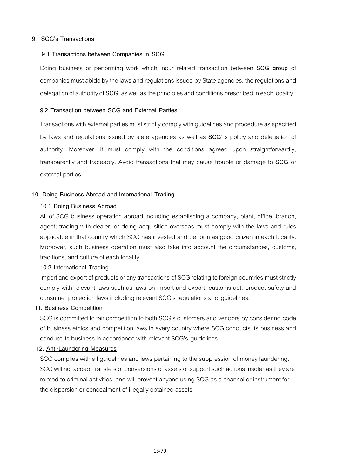# **9. SCG's Transactions**

# **9.1 Transactions between Companies in SCG**

Doing business or performing work which incur related transaction between **SCG group** of companies must abide by the laws and regulations issued by State agencies, the regulations and delegation of authority of **SCG**, as well as the principles and conditions prescribed in each locality.

# **9.2 Transaction between SCG and External Parties**

Transactions with external parties must strictly comply with guidelines and procedure as specified by laws and regulations issued by state agencies as well as **SCG**' s policy and delegation of authority. Moreover, it must comply with the conditions agreed upon straightforwardly, transparently and traceably. Avoid transactions that may cause trouble or damage to **SCG** or external parties.

# **10. Doing Business Abroad and International Trading**

# **10.1 Doing Business Abroad**

All of SCG business operation abroad including establishing a company, plant, office, branch, agent; trading with dealer; or doing acquisition overseas must comply with the laws and rules applicable in that country which SCG has invested and perform as good citizen in each locality. Moreover, such business operation must also take into account the circumstances, customs, traditions, and culture of each locality.

#### **10.2 International Trading**

Import and export of products or any transactions of SCG relating to foreign countries must strictly comply with relevant laws such as laws on import and export, customs act, product safety and consumer protection laws including relevant SCG's regulations and guidelines.

# **11. Business Competition**

SCG is committed to fair competition to both SCG's customers and vendors by considering code of business ethics and competition laws in every country where SCG conducts its business and conduct its business in accordance with relevant SCG's guidelines.

#### **12. Anti-Laundering Measures**

SCG complies with all guidelines and laws pertaining to the suppression of money laundering. SCG will not accept transfers or conversions of assets or support such actions insofar as they are related to criminal activities, and will prevent anyone using SCG as a channel or instrument for the dispersion or concealment of illegally obtained assets.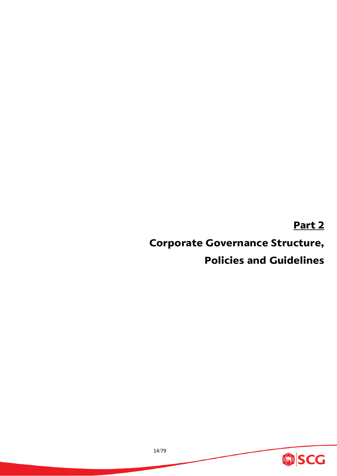# **Part 2**

# **Corporate Governance Structure,**

# **Policies and Guidelines**

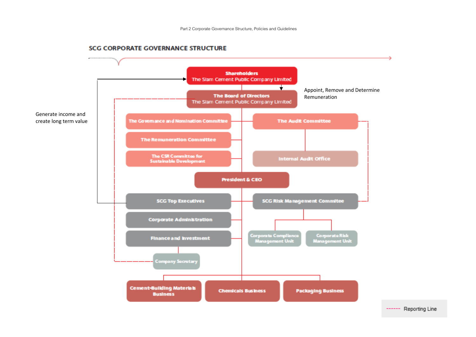

#### **SCG CORPORATE GOVERNANCE STRUCTURE**

------ Reporting Line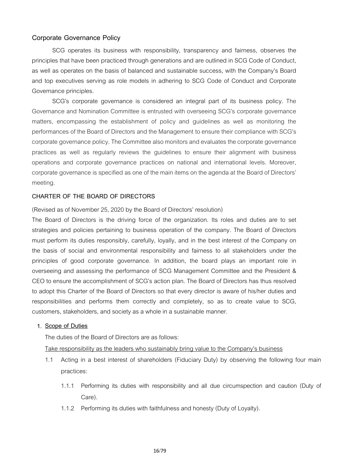# **Corporate Governance Policy**

SCG operates its business with responsibility, transparency and fairness, observes the principles that have been practiced through generations and are outlined in SCG Code of Conduct, as well as operates on the basis of balanced and sustainable success, with the Company's Board and top executives serving as role models in adhering to SCG Code of Conduct and Corporate Governance principles.

SCG's corporate governance is considered an integral part of its business policy. The Governance and Nomination Committee is entrusted with overseeing SCG's corporate governance matters, encompassing the establishment of policy and guidelines as well as monitoring the performances of the Board of Directors and the Management to ensure their compliance with SCG's corporate governance policy. The Committee also monitors and evaluates the corporate governance practices as well as regularly reviews the guidelines to ensure their alignment with business operations and corporate governance practices on national and international levels. Moreover, corporate governance is specified as one of the main items on the agenda at the Board of Directors' meeting.

# **CHARTER OF THE BOARD OF DIRECTORS**

(Revised as of November 25, 2020 by the Board of Directors' resolution)

The Board of Directors is the driving force of the organization. Its roles and duties are to set strategies and policies pertaining to business operation of the company. The Board of Directors must perform its duties responsibly, carefully, loyally, and in the best interest of the Company on the basis of social and environmental responsibility and fairness to all stakeholders under the principles of good corporate governance. In addition, the board plays an important role in overseeing and assessing the performance of SCG Management Committee and the President & CEO to ensure the accomplishment of SCG's action plan. The Board of Directors has thus resolved to adopt this Charter of the Board of Directors so that every director is aware of his/her duties and responsibilities and performs them correctly and completely, so as to create value to SCG, customers, stakeholders, and society as a whole in a sustainable manner.

# **1. Scope of Duties**

The duties of the Board of Directors are as follows:

Take responsibility as the leaders who sustainably bring value to the Company's business

- 1.1 Acting in a best interest of shareholders (Fiduciary Duty) by observing the following four main practices:
	- 1.1.1 Performing its duties with responsibility and all due circumspection and caution (Duty of Care).
	- 1.1.2 Performing its duties with faithfulness and honesty (Duty of Loyalty).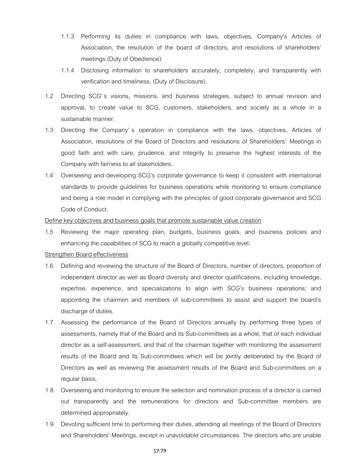- 1.1.3 Performing its duties in compliance with laws, objectives, Company's Articles of Association, the resolution of the board of directors, and resolutions of shareholders' meetings (Duty of Obedience).
- 1.1.4 Disclosing information to shareholders accurately, completely, and transparently with verification and timeliness. (Duty of Disclosure).
- 1.2 Directing SCG's visions, missions, and business strategies, subject to annual revision and approval, to create value to SCG, customers, stakeholders, and society as a whole in a sustainable manner.
- 1.3 Directing the Company' s operation in compliance with the laws, objectives, Articles of Association, resolutions of the Board of Directors and resolutions of Shareholders' Meetings in good faith and with care, prudence, and integrity to preserve the highest interests of the Company with fairness to all stakeholders.
- 1.4 Overseeing and developing SCG's corporate governance to keep it consistent with international standards to provide guidelines for business operations while monitoring to ensure compliance and being a role model in complying with the principles of good corporate governance and SCG Code of Conduct.

#### Define key objectives and business goals that promote sustainable value creation

1.5 Reviewing the major operating plan, budgets, business goals, and business policies and enhancing the capabilities of SCG to reach a globally competitive level.

# **Strengthen Board effectiveness**

- 1.6 Defining and reviewing the structure of the Board of Directors, number of directors, proportion of independent director as well as Board diversity and director qualifications, including knowledge, expertise, experience, and specializations to align with SCG's business operations; and appointing the chairmen and members of sub-committees to assist and support the board's discharge of duties.
- 1.7 Assessing the performance of the Board of Directors annually by performing three types of assessments, namely that of the Board and its Sub-committees as a whole, that of each individual director as a self-assessment, and that of the chairman together with monitoring the assessment results of the Board and its Sub-committees which will be jointly deliberated by the Board of Directors as well as reviewing the assessment results of the Board and Sub-committees on a regular basis.
- 1.8 Overseeing and monitoring to ensure the selection and nomination process of a director is carried out transparently and the remunerations for directors and Sub-committee members are determined appropriately.
- 1.9 Devoting sufficient time to performing their duties, attending all meetings of the Board of Directors and Shareholders' Meetings, except in unavoidable circumstances. The directors who are unable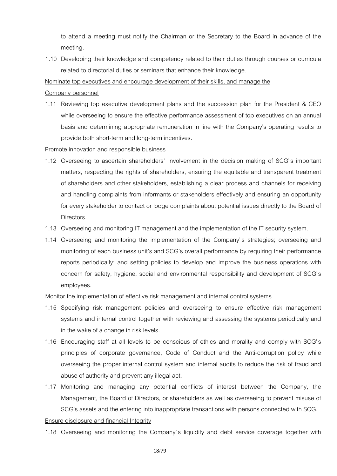to attend a meeting must notify the Chairman or the Secretary to the Board in advance of the meeting.

1.10 Developing their knowledge and competency related to their duties through courses or curricula related to directorial duties or seminars that enhance their knowledge.

Nominate top executives and encourage development of their skills, and manage the

#### Company personnel

1.11 Reviewing top executive development plans and the succession plan for the President & CEO while overseeing to ensure the effective performance assessment of top executives on an annual basis and determining appropriate remuneration in line with the Company's operating results to provide both short-term and long-term incentives.

# Promote innovation and responsible business

- 1.12 Overseeing to ascertain shareholders' involvement in the decision making of SCG's important matters, respecting the rights of shareholders, ensuring the equitable and transparent treatment of shareholders and other stakeholders, establishing a clear process and channels for receiving and handling complaints from informants or stakeholders effectively and ensuring an opportunity for every stakeholder to contact or lodge complaints about potential issues directly to the Board of Directors.
- 1.13 Overseeing and monitoring IT management and the implementation of the IT security system.
- 1.14 Overseeing and monitoring the implementation of the Company's strategies; overseeing and monitoring of each business unit's and SCG's overall performance by requiring their performance reports periodically; and setting policies to develop and improve the business operations with concern for safety, hygiene, social and environmental responsibility and development of SCG's employees.

# Monitor the implementation of effective risk management and internal control systems

- 1.15 Specifying risk management policies and overseeing to ensure effective risk management systems and internal control together with reviewing and assessing the systems periodically and in the wake of a change in risk levels.
- 1.16 Encouraging staff at all levels to be conscious of ethics and morality and comply with SCG's principles of corporate governance, Code of Conduct and the Anti-corruption policy while overseeing the proper internal control system and internal audits to reduce the risk of fraud and abuse of authority and prevent any illegal act.
- 1.17 Monitoring and managing any potential conflicts of interest between the Company, the Management, the Board of Directors, or shareholders as well as overseeing to prevent misuse of SCG's assets and the entering into inappropriate transactions with persons connected with SCG.

# Ensure disclosure and financial Integrity

1.18 Overseeing and monitoring the Company's liquidity and debt service coverage together with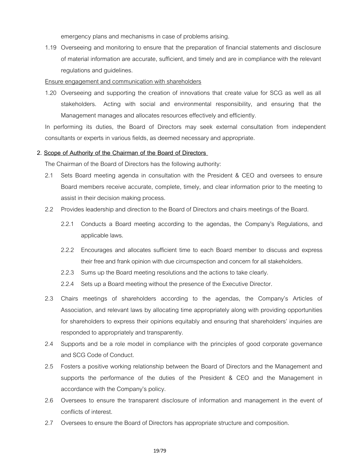emergency plans and mechanisms in case of problems arising.

1.19 Overseeing and monitoring to ensure that the preparation of financial statements and disclosure of material information are accurate, sufficient, and timely and are in compliance with the relevant regulations and guidelines.

#### Ensure engagement and communication with shareholders

1.20 Overseeing and supporting the creation of innovations that create value for SCG as well as all stakeholders. Acting with social and environmental responsibility, and ensuring that the Management manages and allocates resources effectively and efficiently.

In performing its duties, the Board of Directors may seek external consultation from independent consultants or experts in various fields, as deemed necessary and appropriate.

#### **2. Scope of Authority of the Chairman of the Board of Directors**

The Chairman of the Board of Directors has the following authority:

- 2.1 Sets Board meeting agenda in consultation with the President & CEO and oversees to ensure Board members receive accurate, complete, timely, and clear information prior to the meeting to assist in their decision making process.
- 2.2 Provides leadership and direction to the Board of Directors and chairs meetings of the Board.
	- 2.2.1 Conducts a Board meeting according to the agendas, the Company's Regulations, and applicable laws.
	- 2.2.2 Encourages and allocates sufficient time to each Board member to discuss and express their free and frank opinion with due circumspection and concern for all stakeholders.
	- 2.2.3 Sums up the Board meeting resolutions and the actions to take clearly.
	- 2.2.4 Sets up a Board meeting without the presence of the Executive Director.
- 2.3 Chairs meetings of shareholders according to the agendas, the Company's Articles of Association, and relevant laws by allocating time appropriately along with providing opportunities for shareholders to express their opinions equitably and ensuring that shareholders' inquiries are responded to appropriately and transparently.
- 2.4 Supports and be a role model in compliance with the principles of good corporate governance and SCG Code of Conduct.
- 2.5 Fosters a positive working relationship between the Board of Directors and the Management and supports the performance of the duties of the President & CEO and the Management in accordance with the Company's policy.
- 2.6 Oversees to ensure the transparent disclosure of information and management in the event of conflicts of interest.
- 2.7 Oversees to ensure the Board of Directors has appropriate structure and composition.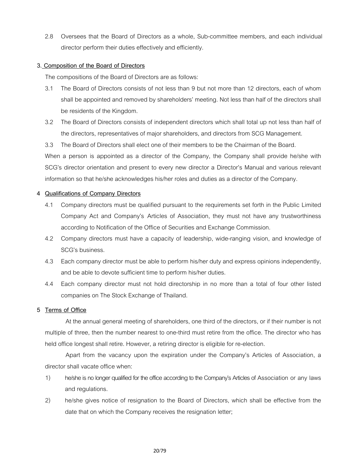2.8 Oversees that the Board of Directors as a whole, Sub-committee members, and each individual director perform their duties effectively and efficiently.

# **3. Composition of the Board of Directors**

The compositions of the Board of Directors are as follows:

- 3.1 The Board of Directors consists of not less than 9 but not more than 12 directors, each of whom shall be appointed and removed by shareholders' meeting. Not less than half of the directors shall be residents of the Kingdom.
- 3.2 The Board of Directors consists of independent directors which shall total up not less than half of the directors, representatives of major shareholders, and directors from SCG Management.
- 3.3 The Board of Directors shall elect one of their members to be the Chairman of the Board.

When a person is appointed as a director of the Company, the Company shall provide he/she with SCG's director orientation and present to every new director a Director's Manual and various relevant information so that he/she acknowledges his/her roles and duties as a director of the Company.

#### **4 Qualifications of Company Directors**

- 4.1 Company directors must be qualified pursuant to the requirements set forth in the Public Limited Company Act and Company's Articles of Association, they must not have any trustworthiness according to Notification of the Office of Securities and Exchange Commission.
- 4.2 Company directors must have a capacity of leadership, wide-ranging vision, and knowledge of SCG's business.
- 4.3 Each company director must be able to perform his/her duty and express opinions independently, and be able to devote sufficient time to perform his/her duties.
- 4.4 Each company director must not hold directorship in no more than a total of four other listed companies on The Stock Exchange of Thailand.

#### **5 Terms of Office**

At the annual general meeting of shareholders, one third of the directors, or if their number is not multiple of three, then the number nearest to one-third must retire from the office. The director who has held office longest shall retire. However, a retiring director is eligible for re-election.

Apart from the vacancy upon the expiration under the Company's Articles of Association, a director shall vacate office when:

- 1) he/she is no longer qualified for the office according to the Company's Articles of Association or any laws and regulations.
- 2) he/she gives notice of resignation to the Board of Directors, which shall be effective from the date that on which the Company receives the resignation letter;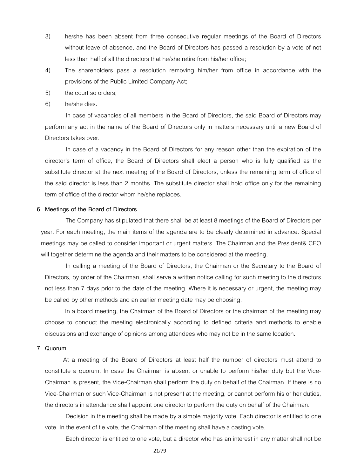- 3) he/she has been absent from three consecutive regular meetings of the Board of Directors without leave of absence, and the Board of Directors has passed a resolution by a vote of not less than half of all the directors that he/she retire from his/her office;
- 4) The shareholders pass a resolution removing him/her from office in accordance with the provisions of the Public Limited Company Act;
- 5) the court so orders;
- 6) he/she dies.

In case of vacancies of all members in the Board of Directors, the said Board of Directors may perform any act in the name of the Board of Directors only in matters necessary until a new Board of Directors takes over.

In case of a vacancy in the Board of Directors for any reason other than the expiration of the director's term of office, the Board of Directors shall elect a person who is fully qualified as the substitute director at the next meeting of the Board of Directors, unless the remaining term of office of the said director is less than 2 months. The substitute director shall hold office only for the remaining term of office of the director whom he/she replaces.

#### **6 Meetings of the Board of Directors**

The Company has stipulated that there shall be at least 8 meetings of the Board of Directors per year. For each meeting, the main items of the agenda are to be clearly determined in advance. Special meetings may be called to consider important or urgent matters. The Chairman and the President& CEO will together determine the agenda and their matters to be considered at the meeting.

In calling a meeting of the Board of Directors, the Chairman or the Secretary to the Board of Directors, by order of the Chairman, shall serve a written notice calling for such meeting to the directors not less than 7 days prior to the date of the meeting. Where it is necessary or urgent, the meeting may be called by other methods and an earlier meeting date may be choosing.

In a board meeting, the Chairman of the Board of Directors or the chairman of the meeting may choose to conduct the meeting electronically according to defined criteria and methods to enable discussions and exchange of opinions among attendees who may not be in the same location.

#### **7 Quorum**

At a meeting of the Board of Directors at least half the number of directors must attend to constitute a quorum. In case the Chairman is absent or unable to perform his/her duty but the Vice-Chairman is present, the Vice-Chairman shall perform the duty on behalf of the Chairman. If there is no Vice-Chairman or such Vice-Chairman is not present at the meeting, or cannot perform his or her duties, the directors in attendance shall appoint one director to perform the duty on behalf of the Chairman.

Decision in the meeting shall be made by a simple majority vote. Each director is entitled to one vote. In the event of tie vote, the Chairman of the meeting shall have a casting vote.

Each director is entitled to one vote, but a director who has an interest in any matter shall not be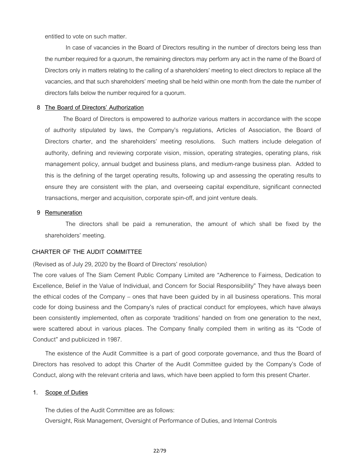entitled to vote on such matter.

In case of vacancies in the Board of Directors resulting in the number of directors being less than the number required for a quorum, the remaining directors may perform any act in the name of the Board of Directors only in matters relating to the calling of a shareholders' meeting to elect directors to replace all the vacancies, and that such shareholders' meeting shall be held within one month from the date the number of directors falls below the number required for a quorum.

#### **8 The Board of Directors' Authorization**

The Board of Directors is empowered to authorize various matters in accordance with the scope of authority stipulated by laws, the Company's regulations, Articles of Association, the Board of Directors charter, and the shareholders' meeting resolutions. Such matters include delegation of authority, defining and reviewing corporate vision, mission, operating strategies, operating plans, risk management policy, annual budget and business plans, and medium-range business plan. Added to this is the defining of the target operating results, following up and assessing the operating results to ensure they are consistent with the plan, and overseeing capital expenditure, significant connected transactions, merger and acquisition, corporate spin-off, and joint venture deals.

#### **9 Remuneration**

The directors shall be paid a remuneration, the amount of which shall be fixed by the shareholders' meeting.

# **CHARTER OF THE AUDIT COMMITTEE**

(Revised as of July 29, 2020 by the Board of Directors' resolution)

The core values of The Siam Cement Public Company Limited are "Adherence to Fairness, Dedication to Excellence, Belief in the Value of Individual, and Concern for Social Responsibility" They have always been the ethical codes of the Company – ones that have been guided by in all business operations. This moral code for doing business and the Company's rules of practical conduct for employees, which have always been consistently implemented, often as corporate 'traditions' handed on from one generation to the next, were scattered about in various places. The Company finally compiled them in writing as its "Code of Conduct" and publicized in 1987.

The existence of the Audit Committee is a part of good corporate governance, and thus the Board of Directors has resolved to adopt this Charter of the Audit Committee guided by the Company's Code of Conduct, along with the relevant criteria and laws, which have been applied to form this present Charter.

#### **1. Scope of Duties**

The duties of the Audit Committee are as follows: Oversight, Risk Management, Oversight of Performance of Duties, and Internal Controls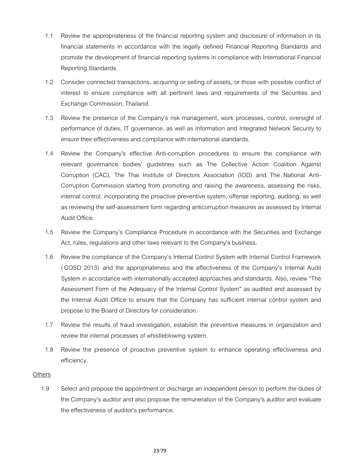- 1.1 Review the appropriateness of the financial reporting system and disclosure of information in its financial statements in accordance with the legally defined Financial Reporting Standards and promote the development of financial reporting systems in compliance with International Financial Reporting Standards.
- 1.2 Consider connected transactions, acquiring or selling of assets, or those with possible conflict of interest to ensure compliance with all pertinent laws and requirements of the Securities and Exchange Commission, Thailand.
- 1.3 Review the presence of the Company's risk management, work processes, control, oversight of performance of duties, IT governance, as well as Information and Integrated Network Security to ensure their effectiveness and compliance with international standards.
- 1.4 Review the Company's effective Anti-corruption procedures to ensure the compliance with relevant governance bodies' guidelines such as The Collective Action Coalition Against Corruption (CAC), The Thai Institute of Directors Association (IOD) and The National Anti-Corruption Commission starting from promoting and raising the awareness, assessing the risks, internal control, incorporating the proactive preventive system, offense reporting, auditing, as well as reviewing the self-assessment form regarding anticorruption measures as assessed by Internal Audit Office.
- 1.5 Review the Company's Compliance Procedure in accordance with the Securities and Exchange Act, rules, regulations and other laws relevant to the Company's business.
- 1.6 Review the compliance of the Company's Internal Control System with Internal Control Framework ( COSO 2013) and the appropriateness and the effectiveness of the Company's Internal Audit System in accordance with internationally accepted approaches and standards. Also, review "The Assessment Form of the Adequacy of the Internal Control System" as audited and assessed by the Internal Audit Office to ensure that the Company has sufficient internal control system and propose to the Board of Directors for consideration.
- 1.7 Review the results of fraud investigation, establish the preventive measures in organization and review the internal processes of whistleblowing system.
- 1.8 Review the presence of proactive preventive system to enhance operating effectiveness and efficiency.

#### **Others**

1.9 Select and propose the appointment or discharge an independent person to perform the duties of the Company's auditor and also propose the remuneration of the Company's auditor and evaluate the effectiveness of auditor's performance.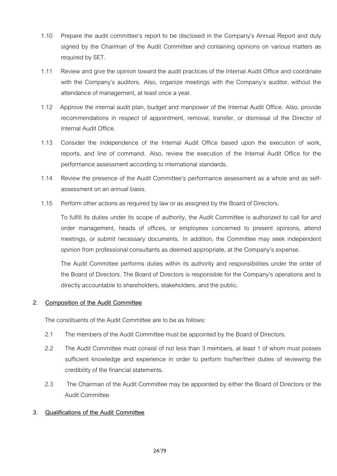- 1.10 Prepare the audit committee's report to be disclosed in the Company's Annual Report and duly signed by the Chairman of the Audit Committee and containing opinions on various matters as required by SET.
- 1.11 Review and give the opinion toward the audit practices of the Internal Audit Office and coordinate with the Company's auditors. Also, organize meetings with the Company's auditor, without the attendance of management, at least once a year.
- 1.12 Approve the internal audit plan, budget and manpower of the Internal Audit Office. Also, provide recommendations in respect of appointment, removal, transfer, or dismissal of the Director of Internal Audit Office.
- 1.13 Consider the independence of the Internal Audit Office based upon the execution of work, reports, and line of command. Also, review the execution of the Internal Audit Office for the performance assessment according to international standards.
- 1.14 Review the presence of the Audit Committee's performance assessment as a whole and as selfassessment on an annual basis.
- 1.15 Perform other actions as required by law or as assigned by the Board of Directors.

To fulfill its duties under its scope of authority, the Audit Committee is authorized to call for and order management, heads of offices, or employees concerned to present opinions, attend meetings, or submit necessary documents. In addition, the Committee may seek independent opinion from professional consultants as deemed appropriate, at the Company's expense.

The Audit Committee performs duties within its authority and responsibilities under the order of the Board of Directors. The Board of Directors is responsible for the Company's operations and is directly accountable to shareholders, stakeholders, and the public.

# **2. Composition of the Audit Committee**

The constituents of the Audit Committee are to be as follows:

- 2.1 The members of the Audit Committee must be appointed by the Board of Directors.
- 2.2 The Audit Committee must consist of not less than 3 members, at least 1 of whom must posses sufficient knowledge and experience in order to perform his/her/their duties of reviewing the credibility of the financial statements.
- 2.3 The Chairman of the Audit Committee may be appointed by either the Board of Directors or the Audit Committee

# **3. Qualifications of the Audit Committee**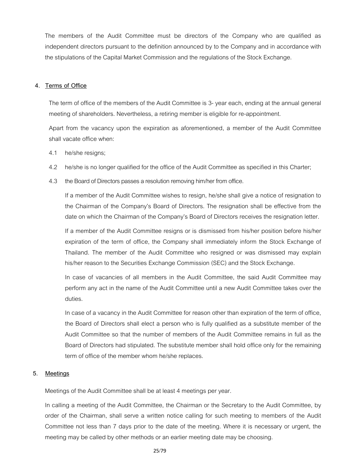The members of the Audit Committee must be directors of the Company who are qualified as independent directors pursuant to the definition announced by to the Company and in accordance with the stipulations of the Capital Market Commission and the regulations of the Stock Exchange.

#### **4. Terms of Office**

The term of office of the members of the Audit Committee is 3- year each, ending at the annual general meeting of shareholders. Nevertheless, a retiring member is eligible for re-appointment.

Apart from the vacancy upon the expiration as aforementioned, a member of the Audit Committee shall vacate office when:

- 4.1 he/she resigns;
- 4.2 he/she is no longer qualified for the office of the Audit Committee as specified in this Charter;
- 4.3 the Board of Directors passes a resolution removing him/her from office.

If a member of the Audit Committee wishes to resign, he/she shall give a notice of resignation to the Chairman of the Company's Board of Directors. The resignation shall be effective from the date on which the Chairman of the Company's Board of Directors receives the resignation letter.

If a member of the Audit Committee resigns or is dismissed from his/her position before his/her expiration of the term of office, the Company shall immediately inform the Stock Exchange of Thailand. The member of the Audit Committee who resigned or was dismissed may explain his/her reason to the Securities Exchange Commission (SEC) and the Stock Exchange.

In case of vacancies of all members in the Audit Committee, the said Audit Committee may perform any act in the name of the Audit Committee until a new Audit Committee takes over the duties.

In case of a vacancy in the Audit Committee for reason other than expiration of the term of office, the Board of Directors shall elect a person who is fully qualified as a substitute member of the Audit Committee so that the number of members of the Audit Committee remains in full as the Board of Directors had stipulated. The substitute member shall hold office only for the remaining term of office of the member whom he/she replaces.

# **5. Meetings**

Meetings of the Audit Committee shall be at least 4 meetings per year.

In calling a meeting of the Audit Committee, the Chairman or the Secretary to the Audit Committee, by order of the Chairman, shall serve a written notice calling for such meeting to members of the Audit Committee not less than 7 days prior to the date of the meeting. Where it is necessary or urgent, the meeting may be called by other methods or an earlier meeting date may be choosing.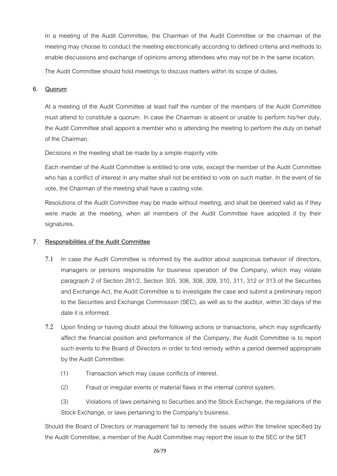In a meeting of the Audit Committee, the Chairman of the Audit Committee or the chairman of the meeting may choose to conduct the meeting electronically according to defined criteria and methods to enable discussions and exchange of opinions among attendees who may not be in the same location.

The Audit Committee should hold meetings to discuss matters within its scope of duties.

# **6. Quorum**

At a meeting of the Audit Committee at least half the number of the members of the Audit Committee must attend to constitute a quorum. In case the Chairman is absent or unable to perform his/her duty, the Audit Committee shall appoint a member who is attending the meeting to perform the duty on behalf of the Chairman.

Decisions in the meeting shall be made by a simple majority vote.

Each member of the Audit Committee is entitled to one vote, except the member of the Audit Committee who has a conflict of interest in any matter shall not be entitled to vote on such matter. In the event of tie vote, the Chairman of the meeting shall have a casting vote.

Resolutions of the Audit Committee may be made without meeting, and shall be deemed valid as if they were made at the meeting, when all members of the Audit Committee have adopted it by their signatures.

# **7. Responsibilities of the Audit Committee**

- 7.1 In case the Audit Committee is informed by the auditor about suspicious behavior of directors, managers or persons responsible for business operation of the Company, which may violate paragraph 2 of Section 281/2, Section 305, 306, 308, 309, 310, 311, 312 or 313 of the Securities and Exchange Act, the Audit Committee is to investigate the case and submit a preliminary report to the Securities and Exchange Commission (SEC), as well as to the auditor, within 30 days of the date it is informed.
- 7.2 Upon finding or having doubt about the following actions or transactions, which may significantly affect the financial position and performance of the Company, the Audit Committee is to report such events to the Board of Directors in order to find remedy within a period deemed appropriate by the Audit Committee:
	- (1) Transaction which may cause conflicts of interest.
	- (2) Fraud or irregular events or material flaws in the internal control system.

(3) Violations of laws pertaining to Securities and the Stock Exchange, the regulations of the Stock Exchange, or laws pertaining to the Company's business.

Should the Board of Directors or management fail to remedy the issues within the timeline specified by the Audit Committee, a member of the Audit Committee may report the issue to the SEC or the SET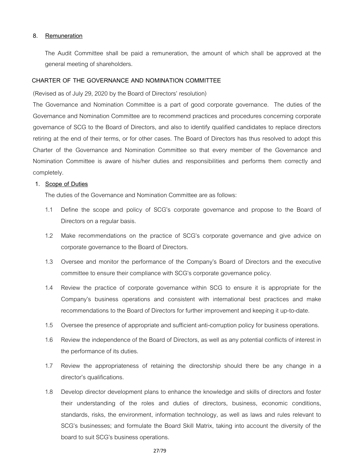#### **8. Remuneration**

The Audit Committee shall be paid a remuneration, the amount of which shall be approved at the general meeting of shareholders.

# **CHARTER OF THE GOVERNANCE AND NOMINATION COMMITTEE**

(Revised as of July 29, 2020 by the Board of Directors' resolution)

The Governance and Nomination Committee is a part of good corporate governance. The duties of the Governance and Nomination Committee are to recommend practices and procedures concerning corporate governance of SCG to the Board of Directors, and also to identify qualified candidates to replace directors retiring at the end of their terms, or for other cases. The Board of Directors has thus resolved to adopt this Charter of the Governance and Nomination Committee so that every member of the Governance and Nomination Committee is aware of his/her duties and responsibilities and performs them correctly and completely.

# **1. Scope of Duties**

The duties of the Governance and Nomination Committee are as follows:

- 1.1 Define the scope and policy of SCG's corporate governance and propose to the Board of Directors on a regular basis.
- 1.2 Make recommendations on the practice of SCG's corporate governance and give advice on corporate governance to the Board of Directors.
- 1.3 Oversee and monitor the performance of the Company's Board of Directors and the executive committee to ensure their compliance with SCG's corporate governance policy.
- 1.4 Review the practice of corporate governance within SCG to ensure it is appropriate for the Company's business operations and consistent with international best practices and make recommendations to the Board of Directors for further improvement and keeping it up-to-date.
- 1.5 Oversee the presence of appropriate and sufficient anti-corruption policy for business operations.
- 1.6 Review the independence of the Board of Directors, as well as any potential conflicts of interest in the performance of its duties.
- 1.7 Review the appropriateness of retaining the directorship should there be any change in a director's qualifications.
- 1.8 Develop director development plans to enhance the knowledge and skills of directors and foster their understanding of the roles and duties of directors, business, economic conditions, standards, risks, the environment, information technology, as well as laws and rules relevant to SCG's businesses; and formulate the Board Skill Matrix, taking into account the diversity of the board to suit SCG's business operations.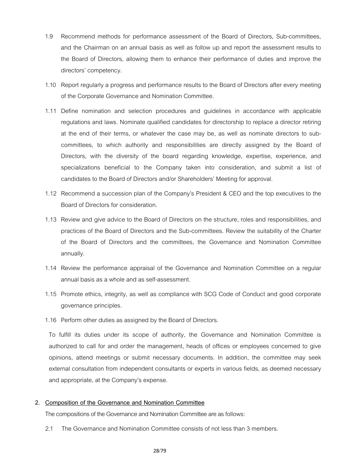- 1.9 Recommend methods for performance assessment of the Board of Directors, Sub-committees, and the Chairman on an annual basis as well as follow up and report the assessment results to the Board of Directors, allowing them to enhance their performance of duties and improve the directors' competency.
- 1.10 Report regularly a progress and performance results to the Board of Directors after every meeting of the Corporate Governance and Nomination Committee.
- 1.11 Define nomination and selection procedures and guidelines in accordance with applicable regulations and laws. Nominate qualified candidates for directorship to replace a director retiring at the end of their terms, or whatever the case may be, as well as nominate directors to subcommittees, to which authority and responsibilities are directly assigned by the Board of Directors, with the diversity of the board regarding knowledge, expertise, experience, and specializations beneficial to the Company taken into consideration, and submit a list of candidates to the Board of Directors and/or Shareholders' Meeting for approval.
- 1.12 Recommend a succession plan of the Company's President & CEO and the top executives to the Board of Directors for consideration.
- 1.13 Review and give advice to the Board of Directors on the structure, roles and responsibilities, and practices of the Board of Directors and the Sub-committees. Review the suitability of the Charter of the Board of Directors and the committees, the Governance and Nomination Committee annually.
- 1.14 Review the performance appraisal of the Governance and Nomination Committee on a regular annual basis as a whole and as self-assessment.
- 1.15 Promote ethics, integrity, as well as compliance with SCG Code of Conduct and good corporate governance principles.
- 1.16 Perform other duties as assigned by the Board of Directors.

To fulfill its duties under its scope of authority, the Governance and Nomination Committee is authorized to call for and order the management, heads of offices or employees concerned to give opinions, attend meetings or submit necessary documents. In addition, the committee may seek external consultation from independent consultants or experts in various fields, as deemed necessary and appropriate, at the Company's expense.

#### **2. Composition of the Governance and Nomination Committee**

The compositions of the Governance and Nomination Committee are as follows:

2.1 The Governance and Nomination Committee consists of not less than 3 members.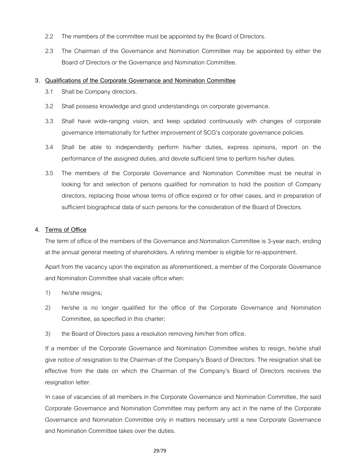- 2.2 The members of the committee must be appointed by the Board of Directors.
- 2.3 The Chairman of the Governance and Nomination Committee may be appointed by either the Board of Directors or the Governance and Nomination Committee.

# **3. Qualifications of the Corporate Governance and Nomination Committee**

- 3.1 Shall be Company directors.
- 3.2 Shall possess knowledge and good understandings on corporate governance.
- 3.3 Shall have wide-ranging vision, and keep updated continuously with changes of corporate governance internationally for further improvement of SCG's corporate governance policies.
- 3.4 Shall be able to independently perform his/her duties, express opinions, report on the performance of the assigned duties, and devote sufficient time to perform his/her duties.
- 3.5 The members of the Corporate Governance and Nomination Committee must be neutral in looking for and selection of persons qualified for nomination to hold the position of Company directors, replacing those whose terms of office expired or for other cases, and in preparation of sufficient biographical data of such persons for the consideration of the Board of Directors.

# **4. Terms of Office**

The term of office of the members of the Governance and Nomination Committee is 3-year each, ending at the annual general meeting of shareholders. A retiring member is eligible for re-appointment.

Apart from the vacancy upon the expiration as aforementioned, a member of the Corporate Governance and Nomination Committee shall vacate office when:

- 1) he/she resigns;
- 2) he/she is no longer qualified for the office of the Corporate Governance and Nomination Committee, as specified in this charter;
- 3) the Board of Directors pass a resolution removing him/her from office.

If a member of the Corporate Governance and Nomination Committee wishes to resign, he/she shall give notice of resignation to the Chairman of the Company's Board of Directors. The resignation shall be effective from the date on which the Chairman of the Company's Board of Directors receives the resignation letter.

In case of vacancies of all members in the Corporate Governance and Nomination Committee, the said Corporate Governance and Nomination Committee may perform any act in the name of the Corporate Governance and Nomination Committee only in matters necessary until a new Corporate Governance and Nomination Committee takes over the duties.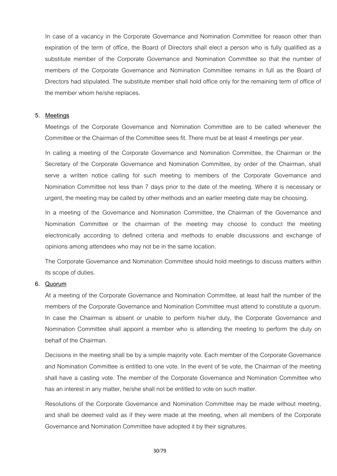In case of a vacancy in the Corporate Governance and Nomination Committee for reason other than expiration of the term of office, the Board of Directors shall elect a person who is fully qualified as a substitute member of the Corporate Governance and Nomination Committee so that the number of members of the Corporate Governance and Nomination Committee remains in full as the Board of Directors had stipulated. The substitute member shall hold office only for the remaining term of office of the member whom he/she replaces.

#### **5. Meetings**

Meetings of the Corporate Governance and Nomination Committee are to be called whenever the Committee or the Chairman of the Committee sees fit. There must be at least 4 meetings per year.

In calling a meeting of the Corporate Governance and Nomination Committee, the Chairman or the Secretary of the Corporate Governance and Nomination Committee, by order of the Chairman, shall serve a written notice calling for such meeting to members of the Corporate Governance and Nomination Committee not less than 7 days prior to the date of the meeting. Where it is necessary or urgent, the meeting may be called by other methods and an earlier meeting date may be choosing.

In a meeting of the Governance and Nomination Committee, the Chairman of the Governance and Nomination Committee or the chairman of the meeting may choose to conduct the meeting electronically according to defined criteria and methods to enable discussions and exchange of opinions among attendees who may not be in the same location.

The Corporate Governance and Nomination Committee should hold meetings to discuss matters within its scope of duties.

#### **6. Quorum**

At a meeting of the Corporate Governance and Nomination Committee, at least half the number of the members of the Corporate Governance and Nomination Committee must attend to constitute a quorum. In case the Chairman is absent or unable to perform his/her duty, the Corporate Governance and Nomination Committee shall appoint a member who is attending the meeting to perform the duty on behalf of the Chairman.

Decisions in the meeting shall be by a simple majority vote. Each member of the Corporate Governance and Nomination Committee is entitled to one vote. In the event of tie vote, the Chairman of the meeting shall have a casting vote. The member of the Corporate Governance and Nomination Committee who has an interest in any matter, he/she shall not be entitled to vote on such matter.

Resolutions of the Corporate Governance and Nomination Committee may be made without meeting, and shall be deemed valid as if they were made at the meeting, when all members of the Corporate Governance and Nomination Committee have adopted it by their signatures.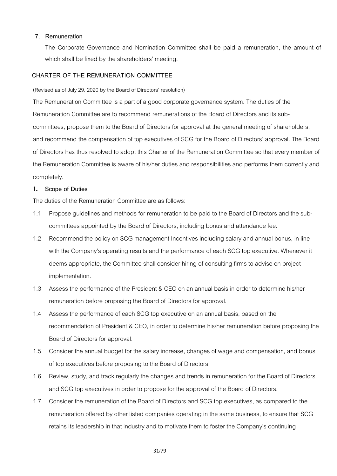# **7. Remuneration**

The Corporate Governance and Nomination Committee shall be paid a remuneration, the amount of which shall be fixed by the shareholders' meeting.

# **CHARTER OF THE REMUNERATION COMMITTEE**

(Revised as of July 29, 2020 by the Board of Directors' resolution)

The Remuneration Committee is a part of a good corporate governance system. The duties of the Remuneration Committee are to recommend remunerations of the Board of Directors and its subcommittees, propose them to the Board of Directors for approval at the general meeting of shareholders, and recommend the compensation of top executives of SCG for the Board of Directors' approval. The Board of Directors has thus resolved to adopt this Charter of the Remuneration Committee so that every member of the Remuneration Committee is aware of his/her duties and responsibilities and performs them correctly and completely.

# **1. Scope of Duties**

The duties of the Remuneration Committee are as follows:

- 1.1 Propose guidelines and methods for remuneration to be paid to the Board of Directors and the subcommittees appointed by the Board of Directors, including bonus and attendance fee.
- 1.2 Recommend the policy on SCG management Incentives including salary and annual bonus, in line with the Company's operating results and the performance of each SCG top executive. Whenever it deems appropriate, the Committee shall consider hiring of consulting firms to advise on project implementation.
- 1.3 Assess the performance of the President & CEO on an annual basis in order to determine his/her remuneration before proposing the Board of Directors for approval.
- 1.4 Assess the performance of each SCG top executive on an annual basis, based on the recommendation of President & CEO, in order to determine his/her remuneration before proposing the Board of Directors for approval.
- 1.5 Consider the annual budget for the salary increase, changes of wage and compensation, and bonus of top executives before proposing to the Board of Directors.
- 1.6 Review, study, and track regularly the changes and trends in remuneration for the Board of Directors and SCG top executives in order to propose for the approval of the Board of Directors.
- 1.7 Consider the remuneration of the Board of Directors and SCG top executives, as compared to the remuneration offered by other listed companies operating in the same business, to ensure that SCG retains its leadership in that industry and to motivate them to foster the Company's continuing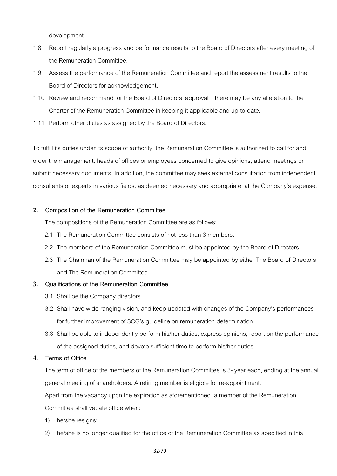development.

- 1.8 Report regularly a progress and performance results to the Board of Directors after every meeting of the Remuneration Committee.
- 1.9 Assess the performance of the Remuneration Committee and report the assessment results to the Board of Directors for acknowledgement.
- 1.10 Review and recommend for the Board of Directors' approval if there may be any alteration to the Charter of the Remuneration Committee in keeping it applicable and up-to-date.
- 1.11 Perform other duties as assigned by the Board of Directors.

To fulfill its duties under its scope of authority, the Remuneration Committee is authorized to call for and order the management, heads of offices or employees concerned to give opinions, attend meetings or submit necessary documents. In addition, the committee may seek external consultation from independent consultants or experts in various fields, as deemed necessary and appropriate, at the Company's expense.

# **2. Composition of the Remuneration Committee**

The compositions of the Remuneration Committee are as follows:

- 2.1 The Remuneration Committee consists of not less than 3 members.
- 2.2 The members of the Remuneration Committee must be appointed by the Board of Directors.
- 2.3 The Chairman of the Remuneration Committee may be appointed by either The Board of Directors and The Remuneration Committee.

# **3. Qualifications of the Remuneration Committee**

- 3.1 Shall be the Company directors.
- 3.2 Shall have wide-ranging vision, and keep updated with changes of the Company's performances for further improvement of SCG's guideline on remuneration determination.
- 3.3 Shall be able to independently perform his/her duties, express opinions, report on the performance of the assigned duties, and devote sufficient time to perform his/her duties.

# **4. Terms of Office**

The term of office of the members of the Remuneration Committee is 3- year each, ending at the annual general meeting of shareholders. A retiring member is eligible for re-appointment.

Apart from the vacancy upon the expiration as aforementioned, a member of the Remuneration Committee shall vacate office when:

- 1) he/she resigns;
- 2) he/she is no longer qualified for the office of the Remuneration Committee as specified in this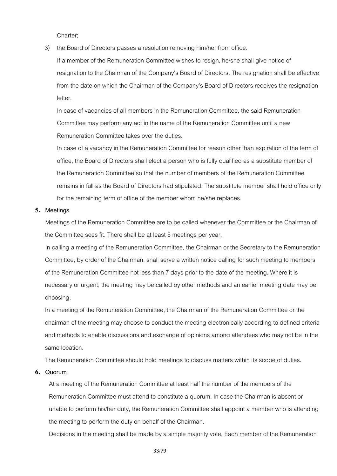Charter;

3) the Board of Directors passes a resolution removing him/her from office.

If a member of the Remuneration Committee wishes to resign, he/she shall give notice of resignation to the Chairman of the Company's Board of Directors. The resignation shall be effective from the date on which the Chairman of the Company's Board of Directors receives the resignation letter.

In case of vacancies of all members in the Remuneration Committee, the said Remuneration Committee may perform any act in the name of the Remuneration Committee until a new Remuneration Committee takes over the duties.

In case of a vacancy in the Remuneration Committee for reason other than expiration of the term of office, the Board of Directors shall elect a person who is fully qualified as a substitute member of the Remuneration Committee so that the number of members of the Remuneration Committee remains in full as the Board of Directors had stipulated. The substitute member shall hold office only for the remaining term of office of the member whom he/she replaces.

#### **5. Meetings**

Meetings of the Remuneration Committee are to be called whenever the Committee or the Chairman of the Committee sees fit. There shall be at least 5 meetings per year.

In calling a meeting of the Remuneration Committee, the Chairman or the Secretary to the Remuneration Committee, by order of the Chairman, shall serve a written notice calling for such meeting to members of the Remuneration Committee not less than 7 days prior to the date of the meeting. Where it is necessary or urgent, the meeting may be called by other methods and an earlier meeting date may be choosing.

In a meeting of the Remuneration Committee, the Chairman of the Remuneration Committee or the chairman of the meeting may choose to conduct the meeting electronically according to defined criteria and methods to enable discussions and exchange of opinions among attendees who may not be in the same location.

The Remuneration Committee should hold meetings to discuss matters within its scope of duties.

# **6. Quorum**

At a meeting of the Remuneration Committee at least half the number of the members of the Remuneration Committee must attend to constitute a quorum. In case the Chairman is absent or unable to perform his/her duty, the Remuneration Committee shall appoint a member who is attending the meeting to perform the duty on behalf of the Chairman.

Decisions in the meeting shall be made by a simple majority vote. Each member of the Remuneration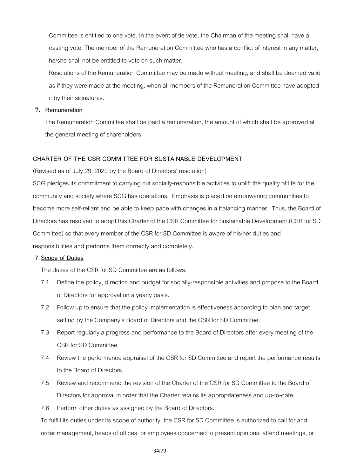Committee is entitled to one vote. In the event of tie vote, the Chairman of the meeting shall have a casting vote. The member of the Remuneration Committee who has a conflict of interest in any matter, he/she shall not be entitled to vote on such matter.

Resolutions of the Remuneration Committee may be made without meeting, and shall be deemed valid as if they were made at the meeting, when all members of the Remuneration Committee have adopted it by their signatures.

# **7. Remuneration**

The Remuneration Committee shall be paid a remuneration, the amount of which shall be approved at the general meeting of shareholders.

# **CHARTER OF THE CSR COMMITTEE FOR SUSTAINABLE DEVELOPMENT**

(Revised as of July 29, 2020 by the Board of Directors' resolution)

SCG pledges its commitment to carrying out socially-responsible activities to uplift the quality of life for the community and society where SCG has operations. Emphasis is placed on empowering communities to become more self-reliant and be able to keep pace with changes in a balancing manner. Thus, the Board of Directors has resolved to adopt this Charter of the CSR Committee for Sustainable Development (CSR for SD Committee) so that every member of the CSR for SD Committee is aware of his/her duties and responsibilities and performs them correctly and completely.

# **7.Scope of Duties**

The duties of the CSR for SD Committee are as follows:

- 7.1 Define the policy, direction and budget for socially-responsible activities and propose to the Board of Directors for approval on a yearly basis.
- 7.2 Follow up to ensure that the policy implementation is effectiveness according to plan and target setting by the Company's Board of Directors and the CSR for SD Committee.
- 7.3 Report regularly a progress and performance to the Board of Directors after every meeting of the CSR for SD Committee.
- 7.4 Review the performance appraisal of the CSR for SD Committee and report the performance results to the Board of Directors.
- 7.5 Review and recommend the revision of the Charter of the CSR for SD Committee to the Board of Directors for approval in order that the Charter retains its appropriateness and up-to-date.
- 7.6 Perform other duties as assigned by the Board of Directors.

To fulfill its duties under its scope of authority, the CSR for SD Committee is authorized to call for and order management, heads of offices, or employees concerned to present opinions, attend meetings, or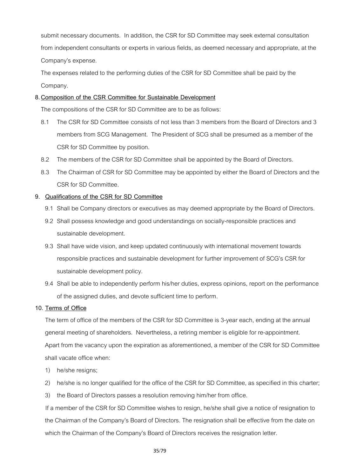submit necessary documents. In addition, the CSR for SD Committee may seek external consultation from independent consultants or experts in various fields, as deemed necessary and appropriate, at the Company's expense.

The expenses related to the performing duties of the CSR for SD Committee shall be paid by the Company.

# **8.Composition of the CSR Committee for Sustainable Development**

The compositions of the CSR for SD Committee are to be as follows:

- 8.1 The CSR for SD Committee consists of not less than 3 members from the Board of Directors and 3 members from SCG Management. The President of SCG shall be presumed as a member of the CSR for SD Committee by position.
- 8.2 The members of the CSR for SD Committee shall be appointed by the Board of Directors.
- 8.3 The Chairman of CSR for SD Committee may be appointed by either the Board of Directors and the CSR for SD Committee.

# **9. Qualifications of the CSR for SD Committee**

- 9.1 Shall be Company directors or executives as may deemed appropriate by the Board of Directors.
- 9.2 Shall possess knowledge and good understandings on socially-responsible practices and sustainable development.
- 9.3 Shall have wide vision, and keep updated continuously with international movement towards responsible practices and sustainable development for further improvement of SCG's CSR for sustainable development policy.
- 9.4 Shall be able to independently perform his/her duties, express opinions, report on the performance of the assigned duties, and devote sufficient time to perform.

# **10. Terms of Office**

The term of office of the members of the CSR for SD Committee is 3-year each, ending at the annual general meeting of shareholders. Nevertheless, a retiring member is eligible for re-appointment. Apart from the vacancy upon the expiration as aforementioned, a member of the CSR for SD Committee shall vacate office when:

- 1) he/she resigns;
- 2) he/she is no longer qualified for the office of the CSR for SD Committee, as specified in this charter;
- 3) the Board of Directors passes a resolution removing him/her from office.

If a member of the CSR for SD Committee wishes to resign, he/she shall give a notice of resignation to the Chairman of the Company's Board of Directors. The resignation shall be effective from the date on which the Chairman of the Company's Board of Directors receives the resignation letter.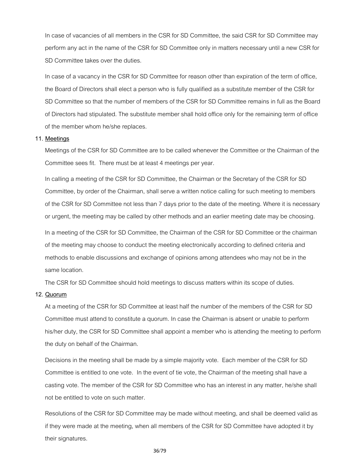In case of vacancies of all members in the CSR for SD Committee, the said CSR for SD Committee may perform any act in the name of the CSR for SD Committee only in matters necessary until a new CSR for SD Committee takes over the duties.

In case of a vacancy in the CSR for SD Committee for reason other than expiration of the term of office, the Board of Directors shall elect a person who is fully qualified as a substitute member of the CSR for SD Committee so that the number of members of the CSR for SD Committee remains in full as the Board of Directors had stipulated. The substitute member shall hold office only for the remaining term of office of the member whom he/she replaces.

#### **11. Meetings**

Meetings of the CSR for SD Committee are to be called whenever the Committee or the Chairman of the Committee sees fit. There must be at least 4 meetings per year.

In calling a meeting of the CSR for SD Committee, the Chairman or the Secretary of the CSR for SD Committee, by order of the Chairman, shall serve a written notice calling for such meeting to members of the CSR for SD Committee not less than 7 days prior to the date of the meeting. Where it is necessary or urgent, the meeting may be called by other methods and an earlier meeting date may be choosing. In a meeting of the CSR for SD Committee, the Chairman of the CSR for SD Committee or the chairman of the meeting may choose to conduct the meeting electronically according to defined criteria and methods to enable discussions and exchange of opinions among attendees who may not be in the same location.

The CSR for SD Committee should hold meetings to discuss matters within its scope of duties.

#### **12. Quorum**

At a meeting of the CSR for SD Committee at least half the number of the members of the CSR for SD Committee must attend to constitute a quorum. In case the Chairman is absent or unable to perform his/her duty, the CSR for SD Committee shall appoint a member who is attending the meeting to perform the duty on behalf of the Chairman.

Decisions in the meeting shall be made by a simple majority vote. Each member of the CSR for SD Committee is entitled to one vote. In the event of tie vote, the Chairman of the meeting shall have a casting vote. The member of the CSR for SD Committee who has an interest in any matter, he/she shall not be entitled to vote on such matter.

Resolutions of the CSR for SD Committee may be made without meeting, and shall be deemed valid as if they were made at the meeting, when all members of the CSR for SD Committee have adopted it by their signatures.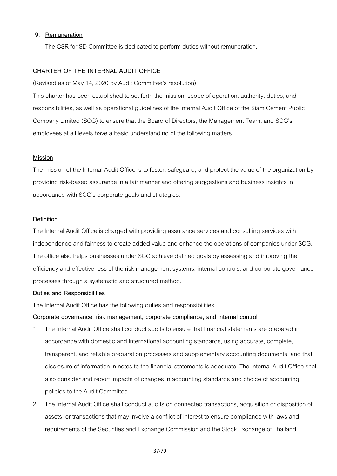#### **9. Remuneration**

The CSR for SD Committee is dedicated to perform duties without remuneration.

#### **CHARTER OF THE INTERNAL AUDIT OFFICE**

(Revised as of May14, 2020 by Audit Committee's resolution)

This charter has been established to set forth the mission, scope of operation, authority, duties, and responsibilities, as well as operational guidelines of the Internal Audit Office of the Siam Cement Public Company Limited (SCG) to ensure that the Board of Directors, the Management Team, and SCG's employees at all levels have a basic understanding of the following matters.

### **Mission**

The mission of the Internal Audit Office is to foster, safeguard, and protect the value of the organization by providing risk-based assurance in a fair manner and offering suggestions and business insights in accordance with SCG's corporate goals and strategies.

#### **Definition**

The Internal Audit Office is charged with providing assurance services and consulting services with independence and fairness to create added value and enhance the operations of companies under SCG. The office also helps businesses under SCG achieve defined goals by assessing and improving the efficiency and effectiveness of the risk management systems, internal controls, and corporate governance processes through a systematic and structured method.

#### **Duties and Responsibilities**

The Internal Audit Office has the following duties and responsibilities:

#### **Corporate governance, risk management, corporate compliance, and internal control**

- 1. The Internal Audit Office shall conduct audits to ensure that financial statements are prepared in accordance with domestic and international accounting standards, using accurate, complete, transparent, and reliable preparation processes and supplementary accounting documents, and that disclosure of information in notes to the financial statements is adequate. The Internal Audit Office shall also consider and report impacts of changes in accounting standards and choice of accounting policies to the Audit Committee.
- 2. The Internal Audit Office shall conduct audits on connected transactions, acquisition or disposition of assets, or transactions that may involve a conflict of interest to ensure compliance with laws and requirements of the Securities and Exchange Commission and the Stock Exchange of Thailand.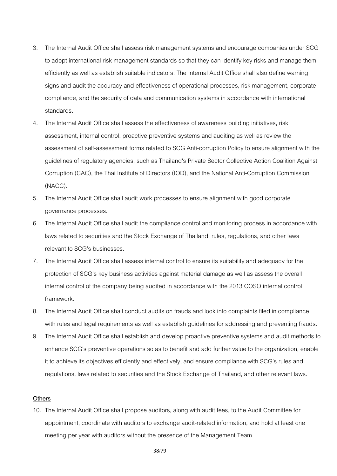- 3. The Internal Audit Office shall assess risk management systems and encourage companies under SCG to adopt international risk management standards so that they can identify key risks and manage them efficiently as well as establish suitable indicators. The Internal Audit Office shall also define warning signs and audit the accuracy and effectiveness of operational processes, risk management, corporate compliance, and the security of data and communication systems in accordance with international standards.
- 4. The Internal Audit Office shall assess the effectiveness of awareness building initiatives, risk assessment, internal control, proactive preventive systems and auditing as well as review the assessment of self-assessment forms related to SCG Anti-corruption Policy to ensure alignment with the guidelines of regulatory agencies, such as Thailand's Private Sector Collective Action Coalition Against Corruption (CAC), the Thai Institute of Directors (IOD), and the National Anti-Corruption Commission (NACC).
- 5. The Internal Audit Office shall audit work processes to ensure alignment with good corporate governance processes.
- 6. The Internal Audit Office shall audit the compliance control and monitoring process in accordance with laws related to securities and the Stock Exchange of Thailand, rules, regulations, and other laws relevant to SCG's businesses.
- 7. The Internal Audit Office shall assess internal control to ensure its suitability and adequacy for the protection of SCG's key business activities against material damage as well as assess the overall internal control of the company being audited in accordance with the 2013 COSO internal control framework.
- 8. The Internal Audit Office shall conduct audits on frauds and look into complaints filed in compliance with rules and legal requirements as well as establish guidelines for addressing and preventing frauds.
- 9. The Internal Audit Office shall establish and develop proactive preventive systems and audit methods to enhance SCG's preventive operations so as to benefit and add further value to the organization, enable it to achieve its objectives efficiently and effectively, and ensure compliance with SCG's rules and regulations, laws related to securities and the Stock Exchange of Thailand, and other relevant laws.

#### **Others**

10. The Internal Audit Office shall propose auditors, along with audit fees, to the Audit Committee for appointment, coordinate with auditors to exchange audit-related information, and hold at least one meeting per year with auditors without the presence of the Management Team.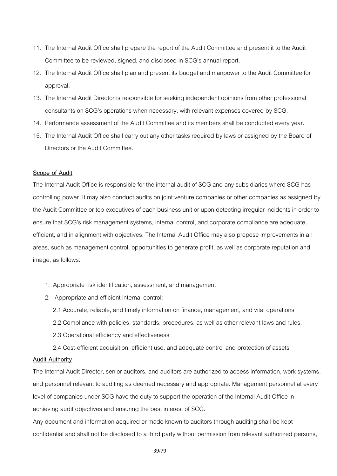- 11. The Internal Audit Office shall prepare the report of the Audit Committee and present it to the Audit Committee to be reviewed, signed, and disclosed in SCG's annual report.
- 12. The Internal Audit Office shall plan and present its budget and manpower to the Audit Committee for approval.
- 13. The Internal Audit Director is responsible for seeking independent opinions from other professional consultants on SCG's operations when necessary, with relevant expenses covered by SCG.
- 14. Performance assessment of the Audit Committee and its members shall be conducted every year.
- 15. The Internal Audit Office shall carry out any other tasks required by laws or assigned by the Board of Directors or the Audit Committee.

#### **Scope of Audit**

The Internal Audit Office is responsible for the internal audit of SCG and any subsidiaries where SCG has controlling power. It may also conduct audits on joint venture companies or other companies as assigned by the Audit Committee or top executives of each business unit or upon detecting irregular incidents in order to ensure that SCG's risk management systems, internal control, and corporate compliance are adequate, efficient, and in alignment with objectives. The Internal Audit Office may also propose improvements in all areas, such as management control, opportunities to generate profit, as well as corporate reputation and image, as follows:

- 1. Appropriate risk identification, assessment, and management
- 2. Appropriate and efficient internal control:
	- 2.1 Accurate, reliable, and timely information on finance, management, and vital operations
	- 2.2 Compliance with policies, standards, procedures, as well as other relevant laws and rules.
	- 2.3 Operational efficiency and effectiveness
	- 2.4 Cost-efficient acquisition, efficient use, and adequate control and protection of assets

#### **Audit Authority**

The Internal Audit Director, senior auditors, and auditors are authorized to access information, work systems, and personnel relevant to auditing as deemed necessary and appropriate. Management personnel at every level of companies under SCG have the duty to support the operation of the Internal Audit Office in achieving audit objectives and ensuring the best interest of SCG.

Any document and information acquired or made known to auditors through auditing shall be kept confidential and shall not be disclosed to a third party without permission from relevant authorized persons,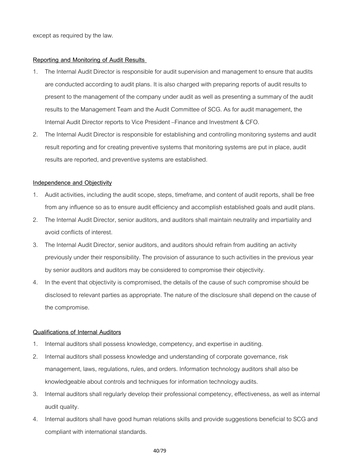except as required by the law.

#### **Reporting and Monitoring of Audit Results**

- 1. The Internal Audit Director is responsible for audit supervision and management to ensure that audits are conducted according to audit plans. It is also charged with preparing reports of audit results to present to the management of the company under audit as well as presenting a summary of the audit results to the Management Team and the Audit Committee of SCG. As for audit management, the Internal Audit Director reports to Vice President –Finance and Investment & CFO.
- 2. The Internal Audit Director is responsible for establishing and controlling monitoring systems and audit result reporting and for creating preventive systems that monitoring systems are put in place, audit results are reported, and preventive systems are established.

### **Independence and Objectivity**

- 1. Audit activities, including the audit scope, steps, timeframe, and content of audit reports, shall be free from any influence so as to ensure audit efficiency and accomplish established goals and audit plans.
- 2. The Internal Audit Director, senior auditors, and auditors shall maintain neutrality and impartiality and avoid conflicts of interest.
- 3. The Internal Audit Director, senior auditors, and auditors should refrain from auditing an activity previously under their responsibility. The provision of assurance to such activities in the previous year by senior auditors and auditors may be considered to compromise their objectivity.
- 4. In the event that objectivity is compromised, the details of the cause of such compromise should be disclosed to relevant parties as appropriate. The nature of the disclosure shall depend on the cause of the compromise.

#### **Qualifications of Internal Auditors**

- 1. Internal auditors shall possess knowledge, competency, and expertise in auditing.
- 2. Internal auditors shall possess knowledge and understanding of corporate governance, risk management, laws, regulations, rules, and orders. Information technology auditors shall also be knowledgeable about controls and techniques for information technology audits.
- 3. Internal auditors shall regularly develop their professional competency, effectiveness, as well as internal audit quality.
- 4. Internal auditors shall have good human relations skills and provide suggestions beneficial to SCG and compliant with international standards.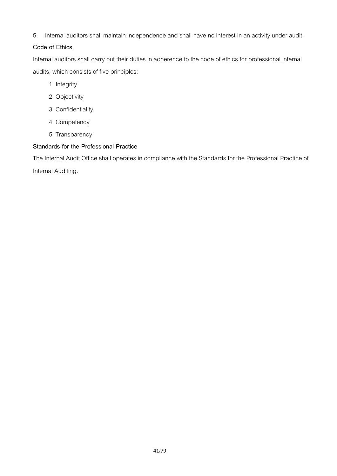5. Internal auditors shall maintain independence and shall have no interest in an activity under audit.

# **Code of Ethics**

Internal auditors shall carry out their duties in adherence to the code of ethics for professional internal audits, which consists of five principles:

- 1. Integrity
- 2. Objectivity
- 3. Confidentiality
- 4. Competency
- 5. Transparency

# **Standards for the Professional Practice**

The Internal Audit Office shall operates in compliance with the Standards for the Professional Practice of Internal Auditing.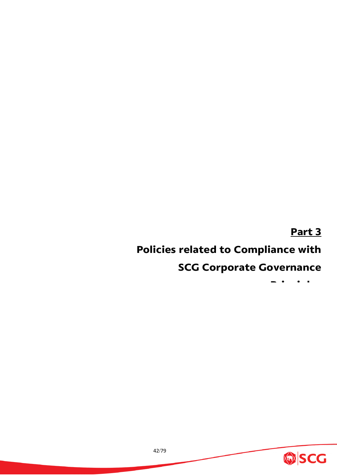# **Part 3**

# **Policies related to Compliance with**

# **SCG Corporate Governance**

**Pi i l**

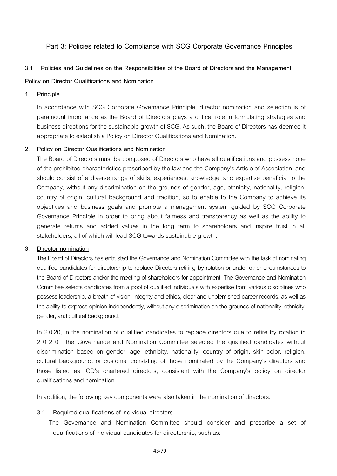# **Part 3: Policies related to Compliance with SCG Corporate Governance Principles**

### **3.1 Policies and Guidelines on the Responsibilities of the Board of Directorsand the Management**

### **Policy on Director Qualifications and Nomination**

#### **1. Principle**

In accordance with SCG Corporate Governance Principle, director nomination and selection is of paramount importance as the Board of Directors plays a critical role in formulating strategies and business directions for the sustainable growth of SCG. As such, the Board of Directors has deemed it appropriate to establish a Policy on Director Qualifications and Nomination.

#### **2. Policy on Director Qualifications and Nomination**

The Board of Directors must be composed of Directors who have all qualifications and possess none of the prohibited characteristics prescribed by the law and the Company's Article of Association, and should consist of a diverse range of skills, experiences, knowledge, and expertise beneficial to the Company, without any discrimination on the grounds of gender, age, ethnicity, nationality, religion, country of origin, cultural background and tradition, so to enable to the Company to achieve its objectives and business goals and promote a management system guided by SCG Corporate Governance Principle in order to bring about fairness and transparency as well as the ability to generate returns and added values in the long term to shareholders and inspire trust in all stakeholders, all of which will lead SCG towards sustainable growth.

#### **3. Director nomination**

The Board of Directors has entrusted the Governance and Nomination Committee with the task of nominating qualified candidates for directorship to replace Directors retiring by rotation or under other circumstances to the Board of Directors and/or the meeting of shareholders for appointment. The Governance and Nomination Committee selects candidates from a pool of qualified individuals with expertise from various disciplines who possess leadership, a breath of vision, integrity and ethics, clear and unblemished career records, as well as the ability to express opinion independently, without any discrimination on the grounds of nationality, ethnicity, gender, and cultural background.

In 2 020, in the nomination of qualified candidates to replace directors due to retire by rotation in 2020 , the Governance and Nomination Committee selected the qualified candidates without discrimination based on gender, age, ethnicity, nationality, country of origin, skin color, religion, cultural background, or customs, consisting of those nominated by the Company's directors and those listed as IOD's chartered directors, consistent with the Company's policy on director qualifications and nomination.

In addition, the following key components were also taken in the nomination of directors.

#### 3.1. Required qualifications of individual directors

The Governance and Nomination Committee should consider and prescribe a set of qualifications of individual candidates for directorship, such as: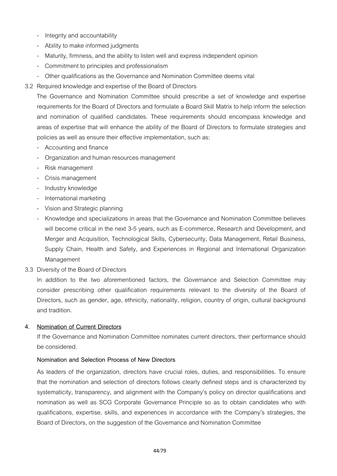- Integrity and accountability
- Ability to make informed judgments
- Maturity, firmness, and the ability to listen well and express independent opinion
- Commitment to principles and professionalism
- Other qualifications as the Governance and Nomination Committee deems vital
- 3.2 Required knowledge and expertise of the Board of Directors

The Governance and Nomination Committee should prescribe a set of knowledge and expertise requirements for the Board of Directors and formulate a Board Skill Matrix to help inform the selection and nomination of qualified candidates. These requirements should encompass knowledge and areas of expertise that will enhance the ability of the Board of Directors to formulate strategies and policies as well as ensure their effective implementation, such as:

- Accounting and finance
- Organization and human resources management
- Risk management
- Crisis management
- Industry knowledge
- International marketing
- Vision and Strategic planning
- Knowledge and specializations in areas that the Governance and Nomination Committee believes will become critical in the next 3-5 years, such as E-commerce, Research and Development, and Merger and Acquisition, Technological Skills, Cybersecurity, Data Management, Retail Business, Supply Chain, Health and Safety, and Experiences in Regional and International Organization Management
- 3.3 Diversity of the Board of Directors

In addition to the two aforementioned factors, the Governance and Selection Committee may consider prescribing other qualification requirements relevant to the diversity of the Board of Directors, such as gender, age, ethnicity, nationality, religion, country of origin, cultural background and tradition.

# **4. Nomination of Current Directors**

If the Governance and Nomination Committee nominates current directors, their performance should be considered.

# **Nomination and Selection Process of New Directors**

As leaders of the organization, directors have crucial roles, duties, and responsibilities. To ensure that the nomination and selection of directors follows clearly defined steps and is characterized by systematicity, transparency, and alignment with the Company's policy on director qualifications and nomination as well as SCG Corporate Governance Principle so as to obtain candidates who with qualifications, expertise, skills, and experiences in accordance with the Company's strategies, the Board of Directors, on the suggestion of the Governance and Nomination Committee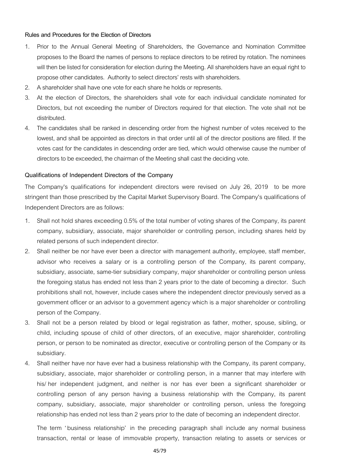#### **Rules and Procedures for the Election of Directors**

- 1. Prior to the Annual General Meeting of Shareholders, the Governance and Nomination Committee proposes to the Board the names of persons to replace directors to be retired by rotation. The nominees will then be listed for consideration for election during the Meeting. All shareholders have an equal right to propose other candidates. Authority to select directors' rests with shareholders.
- 2. A shareholder shall have one vote for each share he holds or represents.
- 3. At the election of Directors, the shareholders shall vote for each individual candidate nominated for Directors, but not exceeding the number of Directors required for that election. The vote shall not be distributed.
- 4. The candidates shall be ranked in descending order from the highest number of votes received to the lowest, and shall be appointed as directors in that order until all of the director positions are filled. If the votes cast for the candidates in descending order are tied, which would otherwise cause the number of directors to be exceeded, the chairman of the Meeting shall cast the deciding vote.

# **Qualifications of Independent Directors of the Company**

The Company's qualifications for independent directors were revised on July 26, 2019 to be more stringent than those prescribed by the Capital Market Supervisory Board. The Company's qualifications of Independent Directors are as follows:

- 1. Shall not hold shares exceeding 0.5% of the total number of voting shares of the Company, its parent company, subsidiary, associate, major shareholder or controlling person, including shares held by related persons of such independent director.
- 2. Shall neither be nor have ever been a director with management authority, employee, staff member, advisor who receives a salary or is a controlling person of the Company, its parent company, subsidiary, associate, same-tier subsidiary company, major shareholder or controlling person unless the foregoing status has ended not less than 2 years prior to the date of becoming a director. Such prohibitions shall not, however, include cases where the independent director previously served as a government officer or an advisor to a government agency which is a major shareholder or controlling person of the Company.
- 3. Shall not be a person related by blood or legal registration as father, mother, spouse, sibling, or child, including spouse of child of other directors, of an executive, major shareholder, controlling person, or person to be nominated as director, executive or controlling person of the Company or its subsidiary.
- 4. Shall neither have nor have ever had a business relationship with the Company, its parent company, subsidiary, associate, major shareholder or controlling person, in a manner that may interfere with his/ her independent judgment, and neither is nor has ever been a significant shareholder or controlling person of any person having a business relationship with the Company, its parent company, subsidiary, associate, major shareholder or controlling person, unless the foregoing relationship has ended not less than 2 years prior to the date of becoming an independent director.

The term ' business relationship' in the preceding paragraph shall include any normal business transaction, rental or lease of immovable property, transaction relating to assets or services or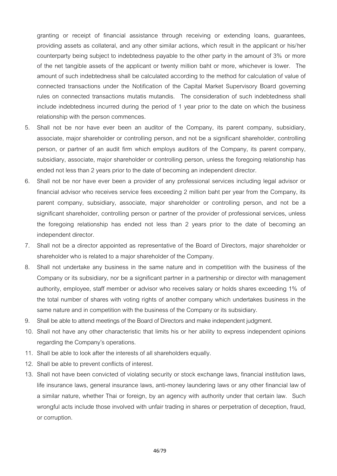granting or receipt of financial assistance through receiving or extending loans, guarantees, providing assets as collateral, and any other similar actions, which result in the applicant or his/her counterparty being subject to indebtedness payable to the other party in the amount of 3% or more of the net tangible assets of the applicant or twenty million baht or more, whichever is lower. The amount of such indebtedness shall be calculated according to the method for calculation of value of connected transactions under the Notification of the Capital Market Supervisory Board governing rules on connected transactions mutatis mutandis. The consideration of such indebtedness shall include indebtedness incurred during the period of 1 year prior to the date on which the business relationship with the person commences.

- 5. Shall not be nor have ever been an auditor of the Company, its parent company, subsidiary, associate, major shareholder or controlling person, and not be a significant shareholder, controlling person, or partner of an audit firm which employs auditors of the Company, its parent company, subsidiary, associate, major shareholder or controlling person, unless the foregoing relationship has ended not less than 2 years prior to the date of becoming an independent director.
- 6. Shall not be nor have ever been a provider of any professional services including legal advisor or financial advisor who receives service fees exceeding 2 million baht per year from the Company, its parent company, subsidiary, associate, major shareholder or controlling person, and not be a significant shareholder, controlling person or partner of the provider of professional services, unless the foregoing relationship has ended not less than 2 years prior to the date of becoming an independent director.
- 7. Shall not be a director appointed as representative of the Board of Directors, major shareholder or shareholder who is related to a major shareholder of the Company.
- 8. Shall not undertake any business in the same nature and in competition with the business of the Company or its subsidiary, nor be a significant partner in a partnership or director with management authority, employee, staff member or advisor who receives salary or holds shares exceeding 1% of the total number of shares with voting rights of another company which undertakes business in the same nature and in competition with the business of the Company or its subsidiary.
- 9. Shall be able to attend meetings of the Board of Directors and make independent judgment.
- 10. Shall not have any other characteristic that limits his or her ability to express independent opinions regarding the Company's operations.
- 11. Shall be able to look after the interests of all shareholders equally.
- 12. Shall be able to prevent conflicts of interest.
- 13. Shall not have been convicted of violating security or stock exchange laws, financial institution laws, life insurance laws, general insurance laws, anti-money laundering laws or any other financial law of a similar nature, whether Thai or foreign, by an agency with authority under that certain law. Such wrongful acts include those involved with unfair trading in shares or perpetration of deception, fraud, or corruption.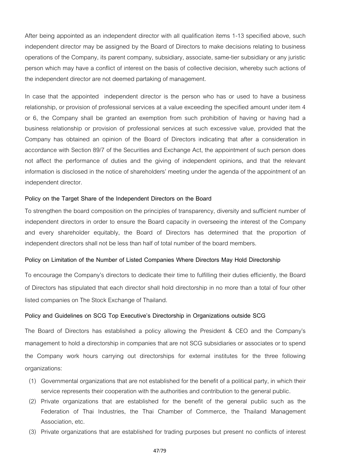After being appointed as an independent director with all qualification items 1-13 specified above, such independent director may be assigned by the Board of Directors to make decisions relating to business operations of the Company, its parent company, subsidiary, associate, same-tier subsidiary or any juristic person which may have a conflict of interest on the basis of collective decision, whereby such actions of the independent director are not deemed partaking of management.

In case that the appointed independent director is the person who has or used to have a business relationship, or provision of professional services at a value exceeding the specified amount under item 4 or 6, the Company shall be granted an exemption from such prohibition of having or having had a business relationship or provision of professional services at such excessive value, provided that the Company has obtained an opinion of the Board of Directors indicating that after a consideration in accordance with Section 89/7 of the Securities and Exchange Act, the appointment of such person does not affect the performance of duties and the giving of independent opinions, and that the relevant information is disclosed in the notice of shareholders' meeting under the agenda of the appointment of an independent director.

#### **Policy on the Target Share of the Independent Directors on the Board**

To strengthen the board composition on the principles of transparency, diversity and sufficient number of independent directors in order to ensure the Board capacity in overseeing the interest of the Company and every shareholder equitably, the Board of Directors has determined that the proportion of independent directors shall not be less than half of total number of the board members.

#### **Policy on Limitation of the Number of Listed Companies Where Directors May Hold Directorship**

To encourage the Company's directors to dedicate their time to fulfilling their duties efficiently, the Board of Directors has stipulated that each director shall hold directorship in no more than a total of four other listed companies on The Stock Exchange of Thailand.

#### **Policy and Guidelines on SCG Top Executive's Directorship in Organizations outside SCG**

The Board of Directors has established a policy allowing the President & CEO and the Company's management to hold a directorship in companies that are not SCG subsidiaries or associates or to spend the Company work hours carrying out directorships for external institutes for the three following organizations:

- (1) Governmental organizations that are not established for the benefit of a political party, in which their service represents their cooperation with the authorities and contribution to the general public.
- (2) Private organizations that are established for the benefit of the general public such as the Federation of Thai Industries, the Thai Chamber of Commerce, the Thailand Management Association, etc.
- (3) Private organizations that are established for trading purposes but present no conflicts of interest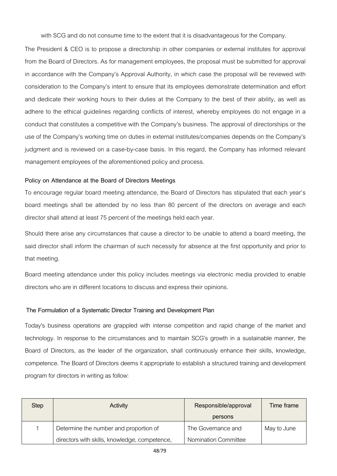with SCG and do not consume time to the extent that it is disadvantageous for the Company.

The President & CEO is to propose a directorship in other companies or external institutes for approval from the Board of Directors. As for management employees, the proposal must be submitted for approval in accordance with the Company's Approval Authority, in which case the proposal will be reviewed with consideration to the Company's intent to ensure that its employees demonstrate determination and effort and dedicate their working hours to their duties at the Company to the best of their ability, as well as adhere to the ethical guidelines regarding conflicts of interest, whereby employees do not engage in a conduct that constitutes a competitive with the Company's business. The approval of directorships or the use of the Company's working time on duties in external institutes/companies depends on the Company's judgment and is reviewed on a case-by-case basis. In this regard, the Company has informed relevant management employees of the aforementioned policy and process.

# **Policy on Attendance at the Board of Directors Meetings**

To encourage regular board meeting attendance, the Board of Directors has stipulated that each year's board meetings shall be attended by no less than 80 percent of the directors on average and each director shall attend at least 75 percent of the meetings held each year.

Should there arise any circumstances that cause a director to be unable to attend a board meeting, the said director shall inform the chairman of such necessity for absence at the first opportunity and prior to that meeting.

Board meeting attendance under this policy includes meetings via electronic media provided to enable directors who are in different locations to discuss and express their opinions.

# **The Formulation of a Systematic Director Training and Development Plan**

Today's business operations are grappled with intense competition and rapid change of the market and technology. In response to the circumstances and to maintain SCG's growth in a sustainable manner, the Board of Directors, as the leader of the organization, shall continuously enhance their skills, knowledge, competence. The Board of Directors deems it appropriate to establish a structured training and development program for directors in writing as follow:

| Step | Activity                                      | Responsible/approval        | <b>Time frame</b> |
|------|-----------------------------------------------|-----------------------------|-------------------|
|      |                                               | persons                     |                   |
|      | Determine the number and proportion of        | The Governance and          | May to June       |
|      | directors with skills, knowledge, competence, | <b>Nomination Committee</b> |                   |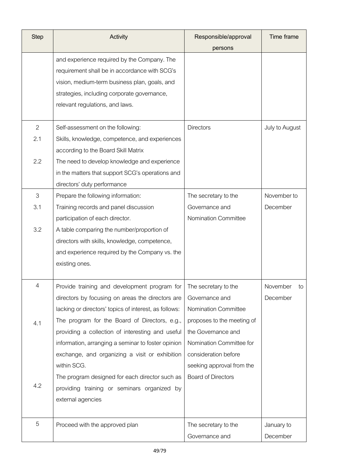| <b>Step</b>    | Activity                                              | Responsible/approval        | Time frame     |
|----------------|-------------------------------------------------------|-----------------------------|----------------|
|                |                                                       | persons                     |                |
|                | and experience required by the Company. The           |                             |                |
|                | requirement shall be in accordance with SCG's         |                             |                |
|                | vision, medium-term business plan, goals, and         |                             |                |
|                | strategies, including corporate governance,           |                             |                |
|                | relevant regulations, and laws.                       |                             |                |
|                |                                                       |                             |                |
| $\overline{2}$ | Self-assessment on the following:                     | <b>Directors</b>            | July to August |
| 2.1            | Skills, knowledge, competence, and experiences        |                             |                |
|                | according to the Board Skill Matrix                   |                             |                |
| 2.2            | The need to develop knowledge and experience          |                             |                |
|                | in the matters that support SCG's operations and      |                             |                |
|                | directors' duty performance                           |                             |                |
| 3              | Prepare the following information:                    | The secretary to the        | November to    |
| 3.1            | Training records and panel discussion                 | Governance and              | December       |
|                | participation of each director.                       | <b>Nomination Committee</b> |                |
| 3.2            | A table comparing the number/proportion of            |                             |                |
|                | directors with skills, knowledge, competence,         |                             |                |
|                | and experience required by the Company vs. the        |                             |                |
|                | existing ones.                                        |                             |                |
| $\overline{4}$ | Provide training and development program for          | The secretary to the        | November<br>to |
|                | directors by focusing on areas the directors are      | Governance and              | December       |
|                | lacking or directors' topics of interest, as follows: | Nomination Committee        |                |
| 4.1            | The program for the Board of Directors, e.g.,         | proposes to the meeting of  |                |
|                | providing a collection of interesting and useful      | the Governance and          |                |
|                | information, arranging a seminar to foster opinion    | Nomination Committee for    |                |
|                | exchange, and organizing a visit or exhibition        | consideration before        |                |
|                | within SCG.                                           | seeking approval from the   |                |
|                | The program designed for each director such as        | <b>Board of Directors</b>   |                |
| 4.2            | providing training or seminars organized by           |                             |                |
|                | external agencies                                     |                             |                |
|                |                                                       |                             |                |
| 5              | Proceed with the approved plan                        | The secretary to the        | January to     |
|                |                                                       | Governance and              | December       |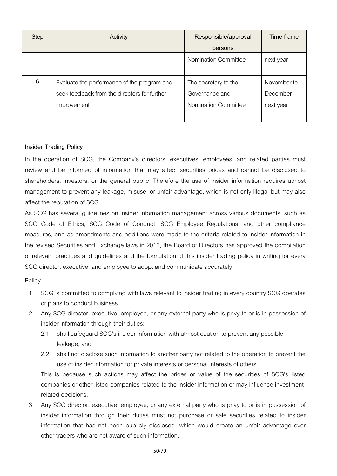| <b>Step</b> | Activity                                                                                                   | Responsible/approval                                                  | Time frame                           |
|-------------|------------------------------------------------------------------------------------------------------------|-----------------------------------------------------------------------|--------------------------------------|
|             |                                                                                                            | persons                                                               |                                      |
|             |                                                                                                            | <b>Nomination Committee</b>                                           | next year                            |
| 6           | Evaluate the performance of the program and<br>seek feedback from the directors for further<br>improvement | The secretary to the<br>Governance and<br><b>Nomination Committee</b> | November to<br>December<br>next year |

# **Insider Trading Policy**

In the operation of SCG, the Company's directors, executives, employees, and related parties must review and be informed of information that may affect securities prices and cannot be disclosed to shareholders, investors, or the general public. Therefore the use of insider information requires utmost management to prevent any leakage, misuse, or unfair advantage, which is not only illegal but may also affect the reputation of SCG.

As SCG has several guidelines on insider information management across various documents, such as SCG Code of Ethics, SCG Code of Conduct, SCG Employee Regulations, and other compliance measures, and as amendments and additions were made to the criteria related to insider information in the revised Securities and Exchange laws in 2016, the Board of Directors has approved the compilation of relevant practices and guidelines and the formulation of this insider trading policy in writing for every SCG director, executive, and employee to adopt and communicate accurately.

# **Policy**

- 1. SCG is committed to complying with laws relevant to insider trading in every country SCG operates or plans to conduct business.
- 2. Any SCG director, executive, employee, or any external party who is privy to or is in possession of insider information through their duties:
	- 2.1 shall safeguard SCG's insider information with utmost caution to prevent any possible leakage; and
	- 2.2 shall not disclose such information to another party not related to the operation to prevent the use of insider information for private interests or personal interests of others.

This is because such actions may affect the prices or value of the securities of SCG's listed companies or other listed companies related to the insider information or may influence investmentrelated decisions.

3. Any SCG director, executive, employee, or any external party who is privy to or is in possession of insider information through their duties must not purchase or sale securities related to insider information that has not been publicly disclosed, which would create an unfair advantage over other traders who are not aware of such information.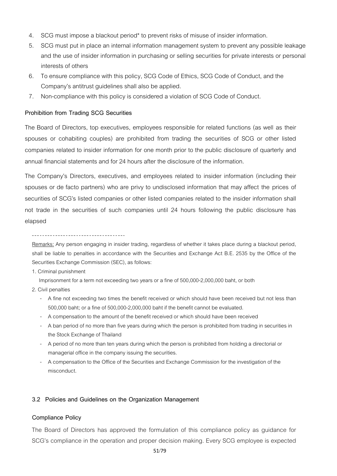- 4. SCG must impose a blackout period\* to prevent risks of misuse of insider information.
- 5. SCG must put in place an internal information management system to prevent any possible leakage and the use of insider information in purchasing or selling securities for private interests or personal interests of others
- 6. To ensure compliance with this policy, SCG Code of Ethics, SCG Code of Conduct, and the Company's antitrust guidelines shall also be applied.
- 7. Non-compliance with this policy is considered a violation of SCG Code of Conduct.

#### **Prohibition from Trading SCG Securities**

The Board of Directors, top executives, employees responsible for related functions (as well as their spouses or cohabiting couples) are prohibited from trading the securities of SCG or other listed companies related to insider information for one month prior to the public disclosure of quarterly and annual financial statements and for 24 hours after the disclosure of the information.

The Company's Directors, executives, and employees related to insider information (including their spouses or de facto partners) who are privy to undisclosed information that may affect the prices of securities of SCG's listed companies or other listed companies related to the insider information shall not trade in the securities of such companies until 24 hours following the public disclosure has elapsed

Remarks: Any person engaging in insider trading, regardless of whether it takes place during a blackout period, shall be liable to penalties in accordance with the Securities and Exchange Act B.E. 2535 by the Office of the Securities Exchange Commission (SEC), as follows:

1. Criminal punishment

Imprisonment for a term not exceeding two years or a fine of 500,000-2,000,000 baht, or both

- 2. Civil penalties
	- A fine not exceeding two times the benefit received or which should have been received but not less than 500,000 baht; or a fine of 500,000-2,000,000 baht if the benefit cannot be evaluated.
	- A compensation to the amount of the benefit received or which should have been received
	- A ban period of no more than five years during which the person is prohibited from trading in securities in the Stock Exchange of Thailand
	- A period of no more than ten years during which the person is prohibited from holding a directorial or managerial office in the company issuing the securities.
	- A compensation to the Office of the Securities and Exchange Commission for the investigation of the misconduct.

#### **3.2 Policies and Guidelines on the Organization Management**

#### **Compliance Policy**

The Board of Directors has approved the formulation of this compliance policy as guidance for SCG's compliance in the operation and proper decision making. Every SCG employee is expected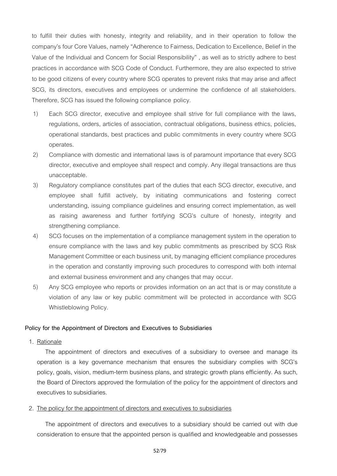to fulfill their duties with honesty, integrity and reliability, and in their operation to follow the company's four Core Values, namely "Adherence to Fairness, Dedication to Excellence, Belief in the Value of the Individual and Concern for Social Responsibility" , as well as to strictly adhere to best practices in accordance with SCG Code of Conduct. Furthermore, they are also expected to strive to be good citizens of every country where SCG operates to prevent risks that may arise and affect SCG, its directors, executives and employees or undermine the confidence of all stakeholders. Therefore, SCG has issued the following compliance policy.

- 1) Each SCG director, executive and employee shall strive for full compliance with the laws, regulations, orders, articles of association, contractual obligations, business ethics, policies, operational standards, best practices and public commitments in every country where SCG operates.
- 2) Compliance with domestic and international laws is of paramount importance that every SCG director, executive and employee shall respect and comply. Any illegal transactions are thus unacceptable.
- 3) Regulatory compliance constitutes part of the duties that each SCG director, executive, and employee shall fulfill actively, by initiating communications and fostering correct understanding, issuing compliance guidelines and ensuring correct implementation, as well as raising awareness and further fortifying SCG's culture of honesty, integrity and strengthening compliance.
- 4) SCG focuses on the implementation of a compliance management system in the operation to ensure compliance with the laws and key public commitments as prescribed by SCG Risk Management Committee or each business unit, by managing efficient compliance procedures in the operation and constantly improving such procedures to correspond with both internal and external business environment and any changes that may occur.
- 5) Any SCG employee who reports or provides information on an act that is or may constitute a violation of any law or key public commitment will be protected in accordance with SCG Whistleblowing Policy.

#### **Policy for the Appointment of Directors and Executives to Subsidiaries**

1. Rationale

The appointment of directors and executives of a subsidiary to oversee and manage its operation is a key governance mechanism that ensures the subsidiary complies with SCG's policy, goals, vision, medium-term business plans, and strategic growth plans efficiently. As such, the Board of Directors approved the formulation of the policy for the appointment of directors and executives to subsidiaries.

#### 2. The policy for the appointment of directors and executives to subsidiaries

The appointment of directors and executives to a subsidiary should be carried out with due consideration to ensure that the appointed person is qualified and knowledgeable and possesses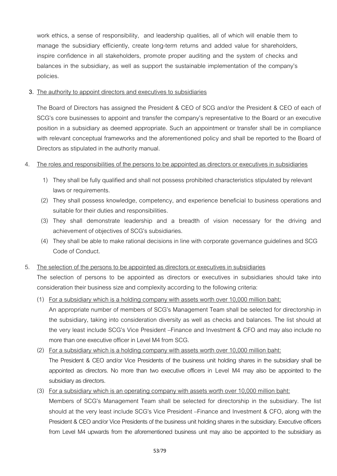work ethics, a sense of responsibility, and leadership qualities, all of which will enable them to manage the subsidiary efficiently, create long-term returns and added value for shareholders, inspire confidence in all stakeholders, promote proper auditing and the system of checks and balances in the subsidiary, as well as support the sustainable implementation of the company's policies.

### **3.** The authority to appoint directors and executives to subsidiaries

The Board of Directors has assigned the President & CEO of SCG and/or the President & CEO of each of SCG's core businesses to appoint and transfer the company's representative to the Board or an executive position in a subsidiary as deemed appropriate. Such an appointment or transfer shall be in compliance with relevant conceptual frameworks and the aforementioned policy and shall be reported to the Board of Directors as stipulated in the authority manual.

### 4. The roles and responsibilities of the persons to be appointed as directors or executives in subsidiaries

- 1) They shall be fully qualified and shall not possess prohibited characteristics stipulated by relevant laws or requirements.
- (2) They shall possess knowledge, competency, and experience beneficial to business operations and suitable for their duties and responsibilities.
- (3) They shall demonstrate leadership and a breadth of vision necessary for the driving and achievement of objectives of SCG's subsidiaries.
- (4) They shall be able to make rational decisions in line with corporate governance guidelines and SCG Code of Conduct.
- 5. The selection of the persons to be appointed as directors or executives in subsidiaries

The selection of persons to be appointed as directors or executives in subsidiaries should take into consideration their business size and complexity according to the following criteria:

(1) For a subsidiary which is a holding company with assets worth over 10,000 million baht:

An appropriate number of members of SCG's Management Team shall be selected for directorship in the subsidiary, taking into consideration diversity as well as checks and balances. The list should at the very least include SCG's Vice President –Finance and Investment & CFO and may also include no more than one executive officer in Level M4 from SCG.

- (2) For a subsidiary which is a holding company with assets worth over 10,000 million baht: The President & CEO and/or Vice Presidents of the business unit holding shares in the subsidiary shall be appointed as directors. No more than two executive officers in Level M4 may also be appointed to the subsidiary as directors.
- (3) For a subsidiary which is an operating company with assets worth over 10,000 million baht: Members of SCG's Management Team shall be selected for directorship in the subsidiary. The list should at the very least include SCG's Vice President –Finance and Investment & CFO, along with the President & CEO and/or Vice Presidents of the business unit holding shares in the subsidiary. Executive officers from Level M4 upwards from the aforementioned business unit may also be appointed to the subsidiary as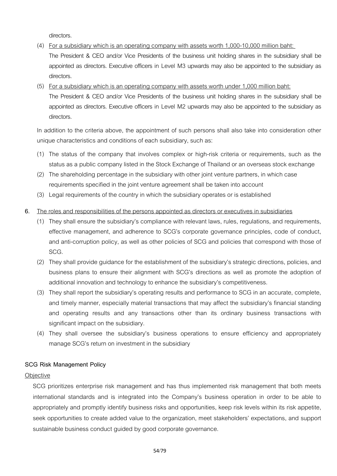directors.

- (4) For a subsidiary which is an operating company with assets worth 1,000-10,000 million baht: The President & CEO and/or Vice Presidents of the business unit holding shares in the subsidiary shall be appointed as directors. Executive officers in Level M3 upwards may also be appointed to the subsidiary as directors.
- (5) For a subsidiary which is an operating company with assets worth under 1,000 million baht:

The President & CEO and/or Vice Presidents of the business unit holding shares in the subsidiary shall be appointed as directors. Executive officers in Level M2 upwards may also be appointed to the subsidiary as directors.

In addition to the criteria above, the appointment of such persons shall also take into consideration other unique characteristics and conditions of each subsidiary, such as:

- (1) The status of the company that involves complex or high-risk criteria or requirements, such as the status as a public company listed in the Stock Exchange of Thailand or an overseas stock exchange
- (2) The shareholding percentage in the subsidiary with other joint venture partners, in which case requirements specified in the joint venture agreement shall be taken into account
- (3) Legal requirements of the country in which the subsidiary operates or is established

### **6.** The roles and responsibilities of the persons appointed as directors or executives in subsidiaries

- (1) They shall ensure the subsidiary's compliance with relevant laws, rules, regulations, and requirements, effective management, and adherence to SCG's corporate governance principles, code of conduct, and anti-corruption policy, as well as other policies of SCG and policies that correspond with those of SCG.
- (2) They shall provide guidance for the establishment of the subsidiary's strategic directions, policies, and business plans to ensure their alignment with SCG's directions as well as promote the adoption of additional innovation and technology to enhance the subsidiary's competitiveness.
- (3) They shall report the subsidiary's operating results and performance to SCG in an accurate, complete, and timely manner, especially material transactions that may affect the subsidiary's financial standing and operating results and any transactions other than its ordinary business transactions with significant impact on the subsidiary.
- (4) They shall oversee the subsidiary's business operations to ensure efficiency and appropriately manage SCG's return on investment in the subsidiary

#### **SCG Risk Management Policy**

#### **Objective**

SCG prioritizes enterprise risk management and has thus implemented risk management that both meets international standards and is integrated into the Company's business operation in order to be able to appropriately and promptly identify business risks and opportunities, keep risk levels within its risk appetite, seek opportunities to create added value to the organization, meet stakeholders' expectations, and support sustainable business conduct guided by good corporate governance.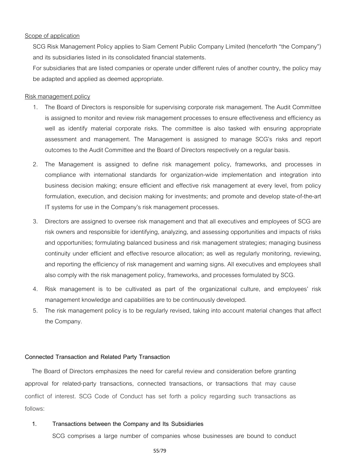#### Scope of application

SCG Risk Management Policy applies to Siam Cement Public Company Limited (henceforth "the Company") and its subsidiaries listed in its consolidated financial statements.

For subsidiaries that are listed companies or operate under different rules of another country, the policy may be adapted and applied as deemed appropriate.

#### Risk management policy

- 1. The Board of Directors is responsible for supervising corporate risk management. The Audit Committee is assigned to monitor and review risk management processes to ensure effectiveness and efficiency as well as identify material corporate risks. The committee is also tasked with ensuring appropriate assessment and management. The Management is assigned to manage SCG's risks and report outcomes to the Audit Committee and the Board of Directors respectively on a regular basis.
- 2. The Management is assigned to define risk management policy, frameworks, and processes in compliance with international standards for organization-wide implementation and integration into business decision making; ensure efficient and effective risk management at every level, from policy formulation, execution, and decision making for investments; and promote and develop state-of-the-art IT systems for use in the Company's risk management processes.
- 3. Directors are assigned to oversee risk management and that all executives and employees of SCG are risk owners and responsible for identifying, analyzing, and assessing opportunities and impacts of risks and opportunities; formulating balanced business and risk management strategies; managing business continuity under efficient and effective resource allocation; as well as regularly monitoring, reviewing, and reporting the efficiency of risk management and warning signs. All executives and employees shall also comply with the risk management policy, frameworks, and processes formulated by SCG.
- 4. Risk management is to be cultivated as part of the organizational culture, and employees' risk management knowledge and capabilities are to be continuously developed.
- 5. The risk management policy is to be regularly revised, taking into account material changes that affect the Company.

#### **Connected Transaction and Related Party Transaction**

The Board of Directors emphasizes the need for careful review and consideration before granting approval for related-party transactions, connected transactions, or transactions that may cause conflict of interest. SCG Code of Conduct has set forth a policy regarding such transactions as follows:

#### **1. Transactions between the Company and Its Subsidiaries**

SCG comprises a large number of companies whose businesses are bound to conduct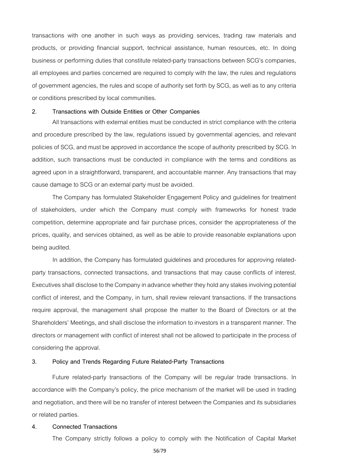transactions with one another in such ways as providing services, trading raw materials and products, or providing financial support, technical assistance, human resources, etc. In doing business or performing duties that constitute related-party transactions between SCG's companies, all employees and parties concerned are required to comply with the law, the rules and regulations of government agencies, the rules and scope of authority set forth by SCG, as well as to any criteria or conditions prescribed by local communities.

#### **2. Transactions with Outside Entities or Other Companies**

All transactions with external entities must be conducted in strict compliance with the criteria and procedure prescribed by the law, regulations issued by governmental agencies, and relevant policies of SCG, and must be approved in accordance the scope of authority prescribed by SCG. In addition, such transactions must be conducted in compliance with the terms and conditions as agreed upon in a straightforward, transparent, and accountable manner. Any transactions that may cause damage to SCG or an external party must be avoided.

The Company has formulated Stakeholder Engagement Policy and guidelines for treatment of stakeholders, under which the Company must comply with frameworks for honest trade competition, determine appropriate and fair purchase prices, consider the appropriateness of the prices, quality, and services obtained, as well as be able to provide reasonable explanations upon being audited.

In addition, the Company has formulated guidelines and procedures for approving relatedparty transactions, connected transactions, and transactions that may cause conflicts of interest. Executives shall disclose to the Company in advance whether they hold any stakes involving potential conflict of interest, and the Company, in turn, shall review relevant transactions. If the transactions require approval, the management shall propose the matter to the Board of Directors or at the Shareholders' Meetings, and shall disclose the information to investors in a transparent manner. The directors or management with conflict of interest shall not be allowed to participate in the process of considering the approval.

#### **3. Policy and Trends Regarding Future Related-Party Transactions**

Future related-party transactions of the Company will be regular trade transactions. In accordance with the Company's policy, the price mechanism of the market will be used in trading and negotiation, and there will be no transfer of interest between the Companies and its subsidiaries or related parties.

#### **4. Connected Transactions**

The Company strictly follows a policy to comply with the Notification of Capital Market

56/79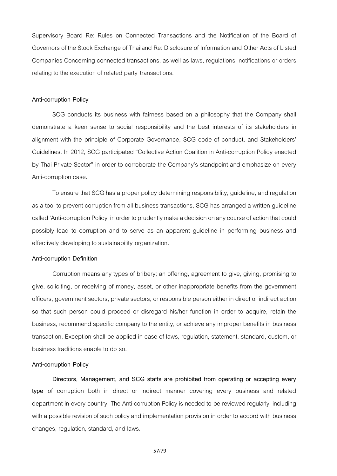Supervisory Board Re: Rules on Connected Transactions and the Notification of the Board of Governors of the Stock Exchange of Thailand Re: Disclosure of Information and Other Acts of Listed Companies Concerning connected transactions, as well as laws, regulations, notifications or orders relating to the execution of related party transactions.

#### **Anti-corruption Policy**

SCG conducts its business with fairness based on a philosophy that the Company shall demonstrate a keen sense to social responsibility and the best interests of its stakeholders in alignment with the principle of Corporate Governance, SCG code of conduct, and Stakeholders' Guidelines. In 2012, SCG participated "Collective Action Coalition in Anti-corruption Policy enacted by Thai Private Sector" in order to corroborate the Company's standpoint and emphasize on every Anti-corruption case.

To ensure that SCG has a proper policy determining responsibility, guideline, and regulation as a tool to prevent corruption from all business transactions, SCG has arranged a written guideline called 'Anti-corruption Policy' in order to prudently make a decision on any course of action that could possibly lead to corruption and to serve as an apparent guideline in performing business and effectively developing to sustainability organization.

#### **Anti-corruption Definition**

Corruption means any types of bribery; an offering, agreement to give, giving, promising to give, soliciting, or receiving of money, asset, or other inappropriate benefits from the government officers, government sectors, private sectors, or responsible person either in direct or indirect action so that such person could proceed or disregard his/her function in order to acquire, retain the business, recommend specific company to the entity, or achieve any improper benefits in business transaction. Exception shall be applied in case of laws, regulation, statement, standard, custom, or business traditions enable to do so.

#### **Anti-corruption Policy**

**Directors, Management, and SCG staffs are prohibited from operating or accepting every type** of corruption both in direct or indirect manner covering every business and related department in every country. The Anti-corruption Policy is needed to be reviewed regularly, including with a possible revision of such policy and implementation provision in order to accord with business changes, regulation, standard, and laws.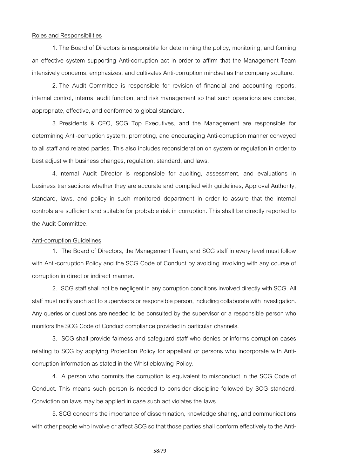#### Roles and Responsibilities

1. The Board of Directors is responsible for determining the policy, monitoring, and forming an effective system supporting Anti-corruption act in order to affirm that the Management Team intensively concerns, emphasizes, and cultivates Anti-corruption mindset as the company'sculture.

2. The Audit Committee is responsible for revision of financial and accounting reports, internal control, internal audit function, and risk management so that such operations are concise, appropriate, effective, and conformed to global standard.

3. Presidents & CEO, SCG Top Executives, and the Management are responsible for determining Anti-corruption system, promoting, and encouraging Anti-corruption manner conveyed to all staff and related parties. This also includes reconsideration on system or regulation in order to best adjust with business changes, regulation, standard, and laws.

4. Internal Audit Director is responsible for auditing, assessment, and evaluations in business transactions whether they are accurate and complied with guidelines, Approval Authority, standard, laws, and policy in such monitored department in order to assure that the internal controls are sufficient and suitable for probable risk in corruption. This shall be directly reported to the Audit Committee.

#### Anti-corruption Guidelines

1. The Board of Directors, the Management Team, and SCG staff in every level must follow with Anti-corruption Policy and the SCG Code of Conduct by avoiding involving with any course of corruption in direct or indirect manner.

2. SCG staff shall not be negligent in any corruption conditions involved directly with SCG. All staff must notify such act to supervisors or responsible person, including collaborate with investigation. Any queries or questions are needed to be consulted by the supervisor or a responsible person who monitors the SCG Code of Conduct compliance provided in particular channels.

3. SCG shall provide fairness and safeguard staff who denies or informs corruption cases relating to SCG by applying Protection Policy for appellant or persons who incorporate with Anticorruption information as stated in the Whistleblowing Policy.

4. A person who commits the corruption is equivalent to misconduct in the SCG Code of Conduct. This means such person is needed to consider discipline followed by SCG standard. Conviction on laws may be applied in case such act violates the laws.

5. SCG concerns the importance of dissemination, knowledge sharing, and communications with other people who involve or affect SCG so that those parties shall conform effectively to the Anti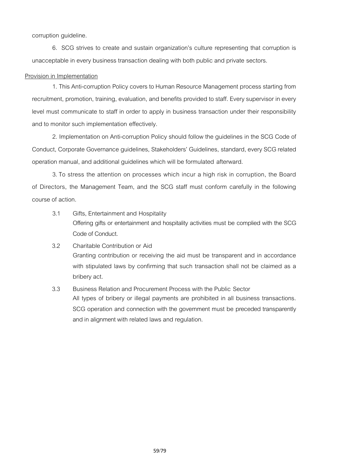corruption guideline.

6. SCG strives to create and sustain organization's culture representing that corruption is unacceptable in every business transaction dealing with both public and private sectors.

#### Provision in Implementation

1. This Anti-corruption Policy covers to Human Resource Management process starting from recruitment, promotion, training, evaluation, and benefits provided to staff. Every supervisor in every level must communicate to staff in order to apply in business transaction under their responsibility and to monitor such implementation effectively.

2. Implementation on Anti-corruption Policy should follow the guidelines in the SCG Code of Conduct, Corporate Governance guidelines, Stakeholders' Guidelines, standard, every SCG related operation manual, and additional guidelines which will be formulated afterward.

3.To stress the attention on processes which incur a high risk in corruption, the Board of Directors, the Management Team, and the SCG staff must conform carefully in the following course of action.

- 3.1 Gifts, Entertainment and Hospitality Offering gifts or entertainment and hospitality activities must be complied with the SCG Code of Conduct.
- 3.2 Charitable Contribution or Aid Granting contribution or receiving the aid must be transparent and in accordance with stipulated laws by confirming that such transaction shall not be claimed as a bribery act.
- 3.3 Business Relation and Procurement Process with the Public Sector All types of bribery or illegal payments are prohibited in all business transactions. SCG operation and connection with the government must be preceded transparently and in alignment with related laws and regulation.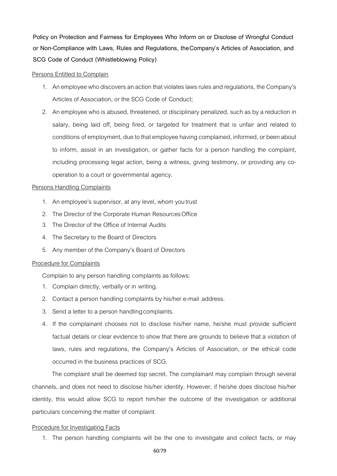**Policy on Protection and Fairness for Employees Who Inform on or Disclose of Wrongful Conduct or Non-Compliance with Laws, Rules and Regulations, theCompany's Articles of Association, and SCG Code of Conduct (Whistleblowing Policy)**

#### Persons Entitled to Complain

- 1. An employee who discovers an action that violates laws rules and regulations, the Company's Articles of Association, or the SCG Code of Conduct;
- 2. An employee who is abused, threatened, or disciplinary penalized, such as by a reduction in salary, being laid off, being fired, or targeted for treatment that is unfair and related to conditions of employment, due to that employee having complained, informed, or been about to inform, assist in an investigation, or gather facts for a person handling the complaint, including processing legal action, being a witness, giving testimony, or providing any cooperation to a court or governmental agency.

#### Persons Handling Complaints

- 1. An employee's supervisor, at any level, whom youtrust
- 2. The Director of the Corporate Human Resources Office
- 3. The Director of the Office of Internal Audits
- 4. The Secretary to the Board of Directors
- 5. Any member of the Company's Board of Directors

#### Procedure for Complaints

Complain to any person handling complaints as follows:

- 1. Complain directly, verbally or in writing.
- 2. Contact a person handling complaints by his/her e-mail address.
- 3. Send a letter to a person handlingcomplaints.
- 4. If the complainant chooses not to disclose his/her name, he/she must provide sufficient factual details or clear evidence to show that there are grounds to believe that a violation of laws, rules and regulations, the Company's Articles of Association, or the ethical code occurred in the business practices of SCG.

The complaint shall be deemed top secret. The complainant may complain through several channels, and does not need to disclose his/her identity. However, if he/she does disclose his/her identity, this would allow SCG to report him/her the outcome of the investigation or additional particulars concerning the matter of complaint.

#### Procedure for Investigating Facts

1. The person handling complaints will be the one to investigate and collect facts, or may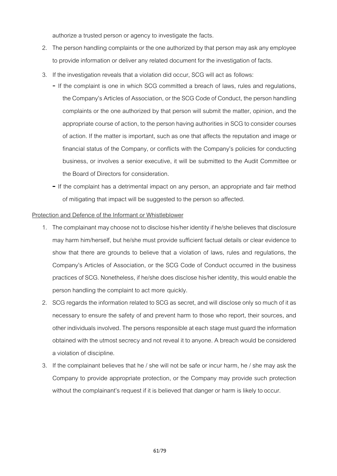authorize a trusted person or agency to investigate the facts.

- 2. The person handling complaints or the one authorized by that person may ask any employee to provide information or deliver any related document for the investigation of facts.
- 3. If the investigation reveals that a violation did occur, SCG will act as follows:
	- If the complaint is one in which SCG committed a breach of laws, rules and regulations, the Company's Articles of Association, or the SCG Code of Conduct, the person handling complaints or the one authorized by that person will submit the matter, opinion, and the appropriate course of action, to the person having authorities in SCG to consider courses of action. If the matter is important, such as one that affects the reputation and image or financial status of the Company, or conflicts with the Company's policies for conducting business, or involves a senior executive, it will be submitted to the Audit Committee or the Board of Directors for consideration.
	- **-** If the complaint has a detrimental impact on any person, an appropriate and fair method of mitigating that impact will be suggested to the person so affected.

### Protection and Defence of the Informant or Whistleblower

- 1. The complainant may choose not to disclose his/her identity if he/she believes that disclosure may harm him/herself, but he/she must provide sufficient factual details or clear evidence to show that there are grounds to believe that a violation of laws, rules and regulations, the Company's Articles of Association, or the SCG Code of Conduct occurred in the business practices of SCG. Nonetheless, if he/she does disclose his/her identity, this would enable the person handling the complaint to act more quickly.
- 2. SCG regards the information related to SCG as secret, and will disclose only so much of it as necessary to ensure the safety of and prevent harm to those who report, their sources, and other individuals involved. The persons responsible at each stage must guard the information obtained with the utmost secrecy and not reveal it to anyone. A breach would be considered a violation of discipline.
- 3. If the complainant believes that he / she will not be safe or incur harm, he / she may ask the Company to provide appropriate protection, or the Company may provide such protection without the complainant's request if it is believed that danger or harm is likely to occur.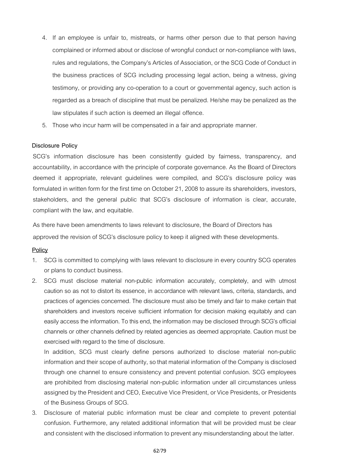- 4. If an employee is unfair to, mistreats, or harms other person due to that person having complained or informed about or disclose of wrongful conduct or non-compliance with laws, rules and regulations, the Company's Articles of Association, or the SCG Code of Conduct in the business practices of SCG including processing legal action, being a witness, giving testimony, or providing any co-operation to a court or governmental agency, such action is regarded as a breach of discipline that must be penalized. He/she may be penalized as the law stipulates if such action is deemed an illegal offence.
- 5. Those who incur harm will be compensated in a fair and appropriate manner.

#### **Disclosure Policy**

SCG's information disclosure has been consistently guided by fairness, transparency, and accountability, in accordance with the principle of corporate governance. As the Board of Directors deemed it appropriate, relevant guidelines were compiled, and SCG's disclosure policy was formulated in written form for the first time on October 21, 2008 to assure its shareholders, investors, stakeholders, and the general public that SCG's disclosure of information is clear, accurate, compliant with the law, and equitable.

As there have been amendments to laws relevant to disclosure, the Board of Directors has approved the revision of SCG's disclosure policy to keep it aligned with these developments.

#### **Policy**

- 1. SCG is committed to complying with laws relevant to disclosure in every country SCG operates or plans to conduct business.
- 2. SCG must disclose material non-public information accurately, completely, and with utmost caution so as not to distort its essence, in accordance with relevant laws, criteria, standards, and practices of agencies concerned. The disclosure must also be timely and fair to make certain that shareholders and investors receive sufficient information for decision making equitably and can easily access the information. To this end, the information may be disclosed through SCG's official channels or other channels defined by related agencies as deemed appropriate. Caution must be exercised with regard to the time of disclosure.

In addition, SCG must clearly define persons authorized to disclose material non-public information and their scope of authority, so that material information of the Company is disclosed through one channel to ensure consistency and prevent potential confusion. SCG employees are prohibited from disclosing material non-public information under all circumstances unless assigned by the President and CEO, Executive Vice President, or Vice Presidents, or Presidents of the Business Groups of SCG.

3. Disclosure of material public information must be clear and complete to prevent potential confusion. Furthermore, any related additional information that will be provided must be clear and consistent with the disclosed information to prevent any misunderstanding about the latter.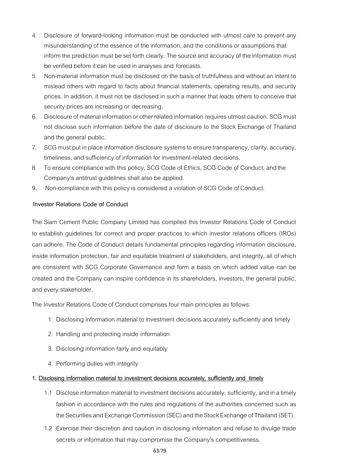- 4. Disclosure of forward-looking information must be conducted with utmost care to prevent any misunderstanding of the essence of the information, and the conditions or assumptions that inform the prediction must be set forth clearly. The source and accuracy of the information must be verified before it can be used in analyses and forecasts.
- 5. Non-material information must be disclosed on the basis of truthfulness and without an intent to mislead others with regard to facts about financial statements, operating results, and security prices. In addition, it must not be disclosed in such a manner that leads others to conceive that security prices are increasing or decreasing.
- 6. Disclosure of material information or other related information requires utmost caution. SCG must not disclose such information before the date of disclosure to the Stock Exchange of Thailand and the general public.
- 7. SCG must put in place information disclosure systems to ensure transparency, clarity, accuracy, timeliness, and sufficiency of information for investment-related decisions.
- 8. To ensure compliance with this policy, SCG Code of Ethics, SCG Code of Conduct, and the Company's antitrust guidelines shall also be applied.
- 9. Non-compliance with this policy is considered a violation of SCG Code of Conduct.

# **Investor Relations Code of Conduct**

The Siam Cement Public Company Limited has compiled this Investor Relations Code of Conduct to establish guidelines for correct and proper practices to which investor relations officers (IROs) can adhere. The Code of Conduct details fundamental principles regarding information disclosure, inside information protection, fair and equitable treatment of stakeholders, and integrity, all of which are consistent with SCG Corporate Governance and form a basis on which added value can be created and the Company can inspire confidence in its shareholders, investors, the general public, and every stakeholder.

The Investor Relations Code of Conduct comprises four main principles as follows:

- 1. Disclosing information material to investment decisions accurately sufficiently and timely
- 2. Handling and protecting inside information
- 3. Disclosing information fairly and equitably
- 4. Performing duties with integrity

# **1. Disclosing information material to investment decisions accurately, sufficiently and timely**

- 1.1 Disclose information material to investment decisions accurately, sufficiently, and in a timely fashion in accordance with the rules and regulations of the authorities concerned such as the Securities and Exchange Commission (SEC) and the Stock Exchange of Thailand (SET).
- 1.2 Exercise their discretion and caution in disclosing information and refuse to divulge trade secrets or information that may compromise the Company's competitiveness.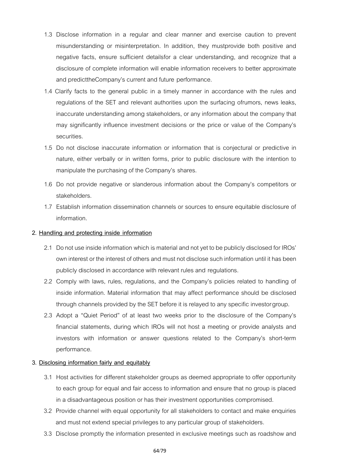- 1.3 Disclose information in a regular and clear manner and exercise caution to prevent misunderstanding or misinterpretation. In addition, they mustprovide both positive and negative facts, ensure sufficient detailsfor a clear understanding, and recognize that a disclosure of complete information will enable information receivers to better approximate and predicttheCompany's current and future performance.
- 1.4 Clarify facts to the general public in a timely manner in accordance with the rules and regulations of the SET and relevant authorities upon the surfacing ofrumors, news leaks, inaccurate understanding among stakeholders, or any information about the company that may significantly influence investment decisions or the price or value of the Company's securities.
- 1.5 Do not disclose inaccurate information or information that is conjectural or predictive in nature, either verbally or in written forms, prior to public disclosure with the intention to manipulate the purchasing of the Company's shares.
- 1.6 Do not provide negative or slanderous information about the Company's competitors or stakeholders.
- 1.7 Establish information dissemination channels or sources to ensure equitable disclosure of information.

#### **2. Handling and protecting inside information**

- 2.1 Do not use inside information which is material and not yet to be publicly disclosed for IROs' own interest or the interest of others and must not disclose such information until it has been publicly disclosed in accordance with relevant rules and regulations.
- 2.2 Comply with laws, rules, regulations, and the Company's policies related to handling of inside information. Material information that may affect performance should be disclosed through channels provided by the SET before it is relayed to any specific investorgroup.
- 2.3 Adopt a "Quiet Period" of at least two weeks prior to the disclosure of the Company's financial statements, during which IROs will not host a meeting or provide analysts and investors with information or answer questions related to the Company's short-term performance.

#### **3. Disclosing information fairly and equitably**

- 3.1 Host activities for different stakeholder groups as deemed appropriate to offer opportunity to each group for equal and fair access to information and ensure that no group is placed in a disadvantageous position or has their investment opportunities compromised.
- 3.2 Provide channel with equal opportunity for all stakeholders to contact and make enquiries and must not extend special privileges to any particular group of stakeholders.
- 3.3 Disclose promptly the information presented in exclusive meetings such as roadshow and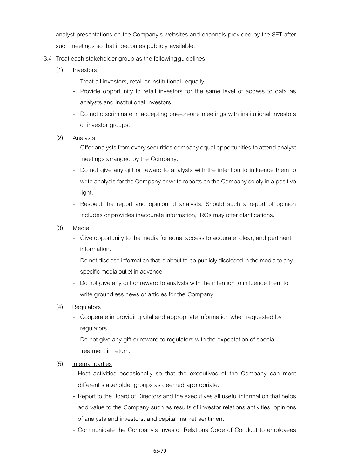analyst presentations on the Company's websites and channels provided by the SET after such meetings so that it becomes publicly available.

- 3.4 Treat each stakeholder group as the followingguidelines:
	- (1) Investors
		- Treat all investors, retail or institutional, equally.
		- Provide opportunity to retail investors for the same level of access to data as analysts and institutional investors.
		- Do not discriminate in accepting one-on-one meetings with institutional investors or investor groups.
	- (2) Analysts
		- Offer analysts from every securities company equal opportunities to attend analyst meetings arranged by the Company.
		- Do not give any gift or reward to analysts with the intention to influence them to write analysis for the Company or write reports on the Company solely in a positive light.
		- Respect the report and opinion of analysts. Should such a report of opinion includes or provides inaccurate information, IROs may offer clarifications.
	- (3) Media
		- Give opportunity to the media for equal access to accurate, clear, and pertinent information.
		- Do not disclose information that is about to be publicly disclosed in the media to any specific media outlet in advance.
		- Do not give any gift or reward to analysts with the intention to influence them to write groundless news or articles for the Company.
	- (4) Regulators
		- Cooperate in providing vital and appropriate information when requested by regulators.
		- Do not give any gift or reward to regulators with the expectation of special treatment in return.
	- (5) Internal parties
		- Host activities occasionally so that the executives of the Company can meet different stakeholder groups as deemed appropriate.
		- Report to the Board of Directors and the executives all useful information that helps add value to the Company such as results of investor relations activities, opinions of analysts and investors, and capital market sentiment.
		- Communicate the Company's Investor Relations Code of Conduct to employees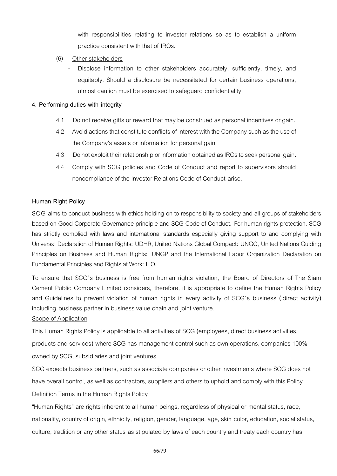with responsibilities relating to investor relations so as to establish a uniform practice consistent with that of IROs.

- (6) Other stakeholders
	- Disclose information to other stakeholders accurately, sufficiently, timely, and equitably. Should a disclosure be necessitated for certain business operations, utmost caution must be exercised to safeguard confidentiality.

#### **4. Performing duties with integrity**

- 4.1 Do not receive gifts or reward that may be construed as personal incentives or gain.
- 4.2 Avoid actions that constitute conflicts of interest with the Company such as the use of the Company's assets or information for personal gain.
- 4.3 Donot exploit their relationship or information obtained as IROs to seek personal gain.
- 4.4 Comply with SCG policies and Code of Conduct and report to supervisors should noncompliance of the Investor Relations Code of Conduct arise.

### **Human Right Policy**

SCG aims to conduct business with ethics holding on to responsibility to society and all groups of stakeholders based on Good Corporate Governance principle and SCG Code of Conduct**.** For human rights protection, SCG has strictly complied with laws and international standards especially giving support to and complying with Universal Declaration of Human Rights**:** UDHR, United Nations Global Compact**:** UNGC, United Nations Guiding Principles on Business and Human Rights**:** UNGP and the International Labor Organization Declaration on Fundamental Principles and Rights at Work**:** ILO**.**

To ensure that SCG**'**s business is free from human rights violation, the Board of Directors of The Siam Cement Public Company Limited considers, therefore, it is appropriate to define the Human Rights Policy and Guidelines to prevent violation of human rights in every activity of SCG**'**s business **(** direct activity**)**  including business partner in business value chain and joint venture**.**

#### Scope of Application

This Human Rights Policy is applicable to all activities of SCG **(**employees, direct business activities,

products and services**)** where SCG has management control such as own operations, companies 100**%**  owned by SCG, subsidiaries and joint ventures**.**

SCG expects business partners, such as associate companies or other investments where SCG does not have overall control, as well as contractors, suppliers and others to uphold and comply with this Policy**.**  Definition Terms in the Human Rights Policy

**"**Human Rights**"** are rights inherent to all human beings, regardless of physical or mental status, race, nationality, country of origin, ethnicity, religion, gender, language, age, skin color, education, social status, culture, tradition or any other status as stipulated by laws of each country and treaty each country has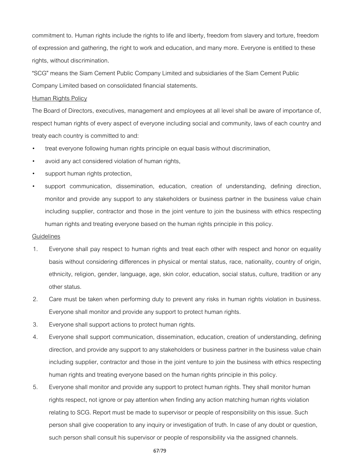commitment to**.** Human rights include the rights to life and liberty, freedom from slavery and torture, freedom of expression and gathering, the right to work and education, and many more**.** Everyone is entitled to these rights, without discrimination**.**

**"**SCG**"** means the Siam Cement Public Company Limited and subsidiaries of the Siam Cement Public Company Limited based on consolidated financial statements**.**

#### Human Rights Policy

The Board of Directors, executives, management and employees at all level shall be aware of importance of, respect human rights of every aspect of everyone including social and community, laws of each country and treaty each country is committed to and:

- treat everyone following human rights principle on equal basis without discrimination,
- avoid any act considered violation of human rights,
- support human rights protection,
- support communication, dissemination, education, creation of understanding, defining direction, monitor and provide any support to any stakeholders or business partner in the business value chain including supplier, contractor and those in the joint venture to join the business with ethics respecting human rights and treating everyone based on the human rights principle in this policy.

#### **Guidelines**

- 1. Everyone shall pay respect to human rights and treat each other with respect and honor on equality basis without considering differences in physical or mental status, race, nationality, country of origin, ethnicity, religion, gender, language, age, skin color, education, social status, culture, tradition or any other status.
- 2. Care must be taken when performing duty to prevent any risks in human rights violation in business. Everyone shall monitor and provide any support to protect human rights.
- 3. Everyone shall support actions to protect human rights.
- 4. Everyone shall support communication, dissemination, education, creation of understanding, defining direction, and provide any support to any stakeholders or business partner in the business value chain including supplier, contractor and those in the joint venture to join the business with ethics respecting human rights and treating everyone based on the human rights principle in this policy.
- 5. Everyone shall monitor and provide any support to protect human rights. They shall monitor human rights respect, not ignore or pay attention when finding any action matching human rights violation relating to SCG. Report must be made to supervisor or people of responsibility on this issue. Such person shall give cooperation to any inquiry or investigation of truth. In case of any doubt or question, such person shall consult his supervisor or people of responsibility via the assigned channels.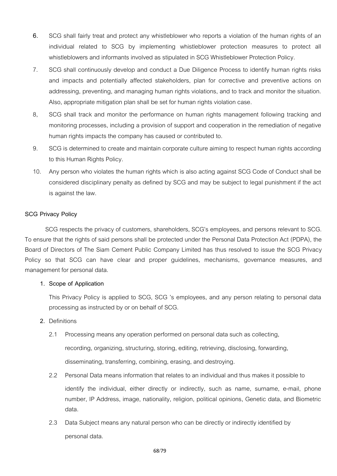- 6. SCG shall fairly treat and protect any whistleblower who reports a violation of the human rights of an individual related to SCG by implementing whistleblower protection measures to protect all whistleblowers and informants involved as stipulated in SCG Whistleblower Protection Policy.
- 7. SCG shall continuously develop and conduct a Due Diligence Process to identify human rights risks and impacts and potentially affected stakeholders, plan for corrective and preventive actions on addressing, preventing, and managing human rights violations, and to track and monitor the situation. Also, appropriate mitigation plan shall be set for human rights violation case.
- 8, SCG shall track and monitor the performance on human rights management following tracking and monitoring processes, including a provision of support and cooperation in the remediation of negative human rights impacts the company has caused or contributed to.
- 9. SCG is determined to create and maintain corporate culture aiming to respect human rights according to this Human Rights Policy.
- 10. Any person who violates the human rights which is also acting against SCG Code of Conduct shall be considered disciplinary penalty as defined by SCG and may be subject to legal punishment if the act is against the law.

# **SCG Privacy Policy**

SCG respects the privacy of customers, shareholders, SCG's employees, and persons relevant to SCG. To ensure that the rights of said persons shall be protected under the Personal Data Protection Act (PDPA), the Board of Directors of The Siam Cement Public Company Limited has thus resolved to issue the SCG Privacy Policy so that SCG can have clear and proper guidelines, mechanisms, governance measures, and management for personal data.

#### **1. Scope of Application**

This Privacy Policy is applied to SCG, SCG 's employees, and any person relating to personal data processing as instructed by or on behalf of SCG.

#### **2.** Definitions

- 2.1 Processing means any operation performed on personal data such as collecting, recording, organizing, structuring, storing, editing, retrieving, disclosing, forwarding, disseminating, transferring, combining, erasing, and destroying.
- 2.2 Personal Data means information that relates to an individual and thus makes it possible to identify the individual, either directly or indirectly, such as name, surname, e-mail, phone number, IP Address, image, nationality, religion, political opinions, Genetic data, and Biometric data.
- 2.3 Data Subject means any natural person who can be directly or indirectly identified by personal data.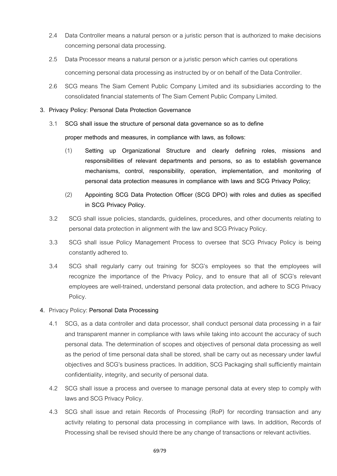- 2.4 Data Controller means a natural person or a juristic person that is authorized to make decisions concerning personal data processing.
- 2.5 Data Processor means a natural person or a juristic person which carries out operations concerning personal data processing as instructed by or on behalf of the Data Controller.
- 2.6 SCG means The Siam Cement Public Company Limited and its subsidiaries according to the consolidated financial statements of The Siam Cement Public Company Limited.
- **3. Privacy Policy: Personal Data Protection Governance**
	- 3.1 **SCG shall issue the structure of personal data governance so as to define proper methods and measures, in compliance with laws, as follows:**
		- (1) **Setting up Organizational Structure and clearly defining roles, missions and responsibilities of relevant departments and persons, so as to establish governance mechanisms, control, responsibility, operation, implementation, and monitoring of personal data protection measures in compliance with laws and SCG Privacy Policy;**
		- (2) **Appointing SCG Data Protection Officer (SCG DPO) with roles and duties as specified in SCG Privacy Policy.**
	- 3.2 SCG shall issue policies, standards, guidelines, procedures, and other documents relating to personal data protection in alignment with the law and SCG Privacy Policy.
	- 3.3 SCG shall issue Policy Management Process to oversee that SCG Privacy Policy is being constantly adhered to.
	- 3.4 SCG shall regularly carry out training for SCG's employees so that the employees will recognize the importance of the Privacy Policy, and to ensure that all of SCG's relevant employees are well-trained, understand personal data protection, and adhere to SCG Privacy Policy.

# **4.** Privacy Policy: **Personal Data Processing**

- 4.1 SCG, as a data controller and data processor, shall conduct personal data processing in a fair and transparent manner in compliance with laws while taking into account the accuracy of such personal data. The determination of scopes and objectives of personal data processing as well as the period of time personal data shall be stored, shall be carry out as necessary under lawful objectives and SCG's business practices. In addition, SCG Packaging shall sufficiently maintain confidentiality, integrity, and security of personal data.
- 4.2 SCG shall issue a process and oversee to manage personal data at every step to comply with laws and SCG Privacy Policy.
- 4.3 SCG shall issue and retain Records of Processing (RoP) for recording transaction and any activity relating to personal data processing in compliance with laws. In addition, Records of Processing shall be revised should there be any change of transactions or relevant activities.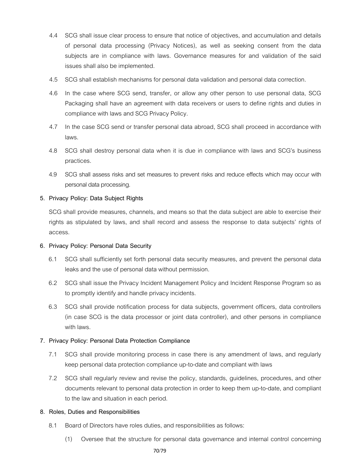- 4.4 SCG shall issue clear process to ensure that notice of objectives, and accumulation and details of personal data processing (Privacy Notices), as well as seeking consent from the data subjects are in compliance with laws. Governance measures for and validation of the said issues shall also be implemented.
- 4.5 SCG shall establish mechanisms for personal data validation and personal data correction.
- 4.6 In the case where SCG send, transfer, or allow any other person to use personal data, SCG Packaging shall have an agreement with data receivers or users to define rights and duties in compliance with laws and SCG Privacy Policy.
- 4.7 In the case SCG send or transfer personal data abroad, SCG shall proceed in accordance with laws.
- 4.8 SCG shall destroy personal data when it is due in compliance with laws and SCG's business practices.
- 4.9 SCG shall assess risks and set measures to prevent risks and reduce effects which may occur with personal data processing.

### **5. Privacy Policy: Data Subject Rights**

SCG shall provide measures, channels, and means so that the data subject are able to exercise their rights as stipulated by laws, and shall record and assess the response to data subjects' rights of access.

#### **6. Privacy Policy: Personal Data Security**

- 6.1 SCG shall sufficiently set forth personal data security measures, and prevent the personal data leaks and the use of personal data without permission.
- 6.2 SCG shall issue the Privacy Incident Management Policy and Incident Response Program so as to promptly identify and handle privacy incidents.
- 6.3 SCG shall provide notification process for data subjects, government officers, data controllers (in case SCG is the data processor or joint data controller), and other persons in compliance with laws.

#### **7. Privacy Policy: Personal Data Protection Compliance**

- 7.1 SCG shall provide monitoring process in case there is any amendment of laws, and regularly keep personal data protection compliance up-to-date and compliant with laws
- 7.2 SCG shall regularly review and revise the policy, standards, guidelines, procedures, and other documents relevant to personal data protection in order to keep them up-to-date, and compliant to the law and situation in each period.

#### **8. Roles, Duties and Responsibilities**

- 8.1 Board of Directors have roles duties, and responsibilities as follows:
	- (1) Oversee that the structure for personal data governance and internal control concerning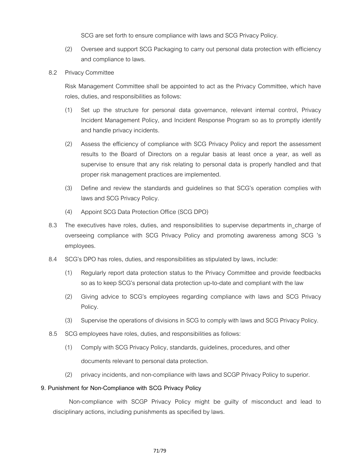SCG are set forth to ensure compliance with laws and SCG Privacy Policy.

- (2) Oversee and support SCG Packaging to carry out personal data protection with efficiency and compliance to laws.
- 8.2 Privacy Committee

Risk Management Committee shall be appointed to act as the Privacy Committee, which have roles, duties, and responsibilities as follows:

- (1) Set up the structure for personal data governance, relevant internal control, Privacy Incident Management Policy, and Incident Response Program so as to promptly identify and handle privacy incidents.
- (2) Assess the efficiency of compliance with SCG Privacy Policy and report the assessment results to the Board of Directors on a regular basis at least once a year, as well as supervise to ensure that any risk relating to personal data is properly handled and that proper risk management practices are implemented.
- (3) Define and review the standards and guidelines so that SCG's operation complies with laws and SCG Privacy Policy.
- (4) Appoint SCG Data Protection Office (SCG DPO)
- 8.3 The executives have roles, duties, and responsibilities to supervise departments in charge of overseeing compliance with SCG Privacy Policy and promoting awareness among SCG 's employees.
- 8.4 SCG's DPO has roles, duties, and responsibilities as stipulated by laws, include:
	- (1) Regularly report data protection status to the Privacy Committee and provide feedbacks so as to keep SCG's personal data protection up-to-date and compliant with the law
	- (2) Giving advice to SCG's employees regarding compliance with laws and SCG Privacy Policy.
	- (3) Supervise the operations of divisions in SCG to comply with laws and SCG Privacy Policy.
- 8.5 SCG employees have roles, duties, and responsibilities as follows:
	- (1) Comply with SCG Privacy Policy, standards, guidelines, procedures, and other documents relevant to personal data protection.
	- (2) privacy incidents, and non-compliance with laws and SCGP Privacy Policy to superior.

#### **9. Punishment for Non-Compliance with SCG Privacy Policy**

Non-compliance with SCGP Privacy Policy might be guilty of misconduct and lead to disciplinary actions, including punishments as specified by laws.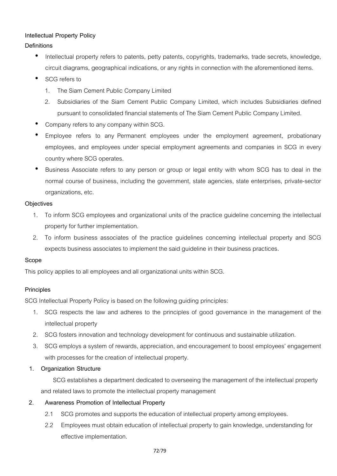# **Intellectual Property Policy**

# **Definitions**

- Intellectual property refers to patents, petty patents, copyrights, trademarks, trade secrets, knowledge, circuit diagrams, geographical indications, or any rights in connection with the aforementioned items.
- SCG refers to
	- 1. The Siam Cement Public Company Limited
	- 2. Subsidiaries of the Siam Cement Public Company Limited, which includes Subsidiaries defined pursuant to consolidated financial statements of The Siam Cement Public Company Limited.
- Company refers to any company within SCG.
- Employee refers to any Permanent employees under the employment agreement, probationary employees, and employees under special employment agreements and companies in SCG in every country where SCG operates.
- Business Associate refers to any person or group or legal entity with whom SCG has to deal in the normal course of business, including the government, state agencies, state enterprises, private-sector organizations, etc.

# **Objectives**

- 1. To inform SCG employees and organizational units of the practice guideline concerning the intellectual property for further implementation.
- 2. To inform business associates of the practice guidelines concerning intellectual property and SCG expects business associates to implement the said guideline in their business practices.

# **Scope**

This policy applies to all employees and all organizational units within SCG.

# **Principles**

SCG Intellectual Property Policy is based on the following guiding principles:

- 1. SCG respects the law and adheres to the principles of good governance in the management of the intellectual property
- 2. SCG fosters innovation and technology development for continuous and sustainable utilization.
- 3. SCG employs a system of rewards, appreciation, and encouragement to boost employees' engagement with processes for the creation of intellectual property.
- **1. Organization Structure**

SCG establishes a department dedicated to overseeing the management of the intellectual property and related laws to promote the intellectual property management

# **2. Awareness Promotion of Intellectual Property**

- 2.1 SCG promotes and supports the education of intellectual property among employees.
- 2.2 Employees must obtain education of intellectual property to gain knowledge, understanding for effective implementation.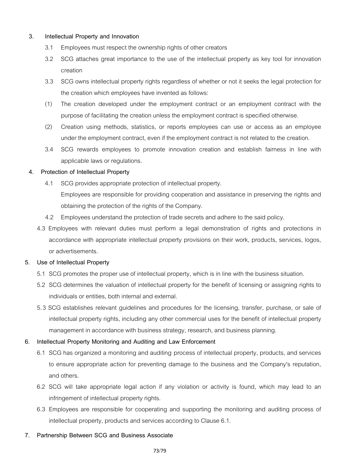# **3. Intellectual Property and Innovation**

- 3.1 Employees must respect the ownership rights of other creators
- 3.2 SCG attaches great importance to the use of the intellectual property as key tool for innovation creation
- 3.3 SCG owns intellectual property rights regardless of whether or not it seeks the legal protection for the creation which employees have invented as follows:
- (1) The creation developed under the employment contract or an employment contract with the purpose of facilitating the creation unless the employment contract is specified otherwise.
- (2) Creation using methods, statistics, or reports employees can use or access as an employee under the employment contract, even if the employment contract is not related to the creation.
- 3.4 SCG rewards employees to promote innovation creation and establish fairness in line with applicable laws or regulations.

## **4. Protection of Intellectual Property**

4.1 SCG provides appropriate protection of intellectual property.

Employees are responsible for providing cooperation and assistance in preserving the rights and obtaining the protection of the rights of the Company.

- 4.2 Employees understand the protection of trade secrets and adhere to the said policy.
- 4.3 Employees with relevant duties must perform a legal demonstration of rights and protections in accordance with appropriate intellectual property provisions on their work, products, services, logos, or advertisements.

# **5. Use of Intellectual Property**

- 5.1 SCG promotes the proper use of intellectual property, which is in line with the business situation.
- 5.2 SCG determines the valuation of intellectual property for the benefit of licensing or assigning rights to individuals or entities, both internal and external.
- 5.3 SCG establishes relevant guidelines and procedures for the licensing, transfer, purchase, or sale of intellectual property rights, including any other commercial uses for the benefit of intellectual property management in accordance with business strategy, research, and business planning.

# **6. Intellectual Property Monitoring and Auditing and Law Enforcement**

- 6.1 SCG has organized a monitoring and auditing process of intellectual property, products, and services to ensure appropriate action for preventing damage to the business and the Company's reputation, and others.
- 6.2 SCG will take appropriate legal action if any violation or activity is found, which may lead to an infringement of intellectual property rights.
- 6.3 Employees are responsible for cooperating and supporting the monitoring and auditing process of intellectual property, products and services according to Clause 6.1.

### **7. Partnership Between SCG and Business Associate**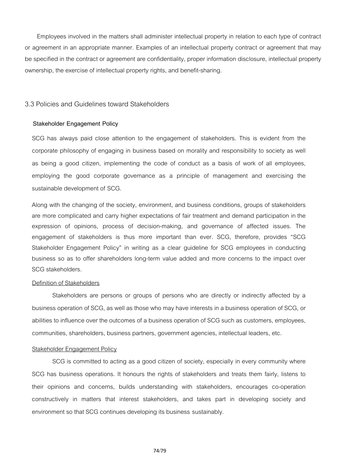Employees involved in the matters shall administer intellectual property in relation to each type of contract or agreement in an appropriate manner. Examples of an intellectual property contract or agreement that may be specified in the contract or agreement are confidentiality, proper information disclosure, intellectual property ownership, the exercise of intellectual property rights, and benefit-sharing.

### 3.3 Policies and Guidelines toward Stakeholders

#### **Stakeholder Engagement Policy**

SCG has always paid close attention to the engagement of stakeholders. This is evident from the corporate philosophy of engaging in business based on morality and responsibility to society as well as being a good citizen, implementing the code of conduct as a basis of work of all employees, employing the good corporate governance as a principle of management and exercising the sustainable development of SCG.

Along with the changing of the society, environment, and business conditions, groups of stakeholders are more complicated and carry higher expectations of fair treatment and demand participation in the expression of opinions, process of decision-making, and governance of affected issues. The engagement of stakeholders is thus more important than ever. SCG, therefore, provides "SCG Stakeholder Engagement Policy" in writing as a clear guideline for SCG employees in conducting business so as to offer shareholders long-term value added and more concerns to the impact over SCG stakeholders.

#### Definition of Stakeholders

Stakeholders are persons or groups of persons who are directly or indirectly affected by a business operation of SCG, as well as those who may have interests in a business operation of SCG, or abilities to influence over the outcomes of a business operation of SCG such as customers, employees, communities, shareholders, business partners, government agencies, intellectual leaders, etc.

#### Stakeholder Engagement Policy

SCG is committed to acting as a good citizen of society, especially in every community where SCG has business operations. It honours the rights of stakeholders and treats them fairly, listens to their opinions and concerns, builds understanding with stakeholders, encourages co-operation constructively in matters that interest stakeholders, and takes part in developing society and environment so that SCG continues developing its business sustainably.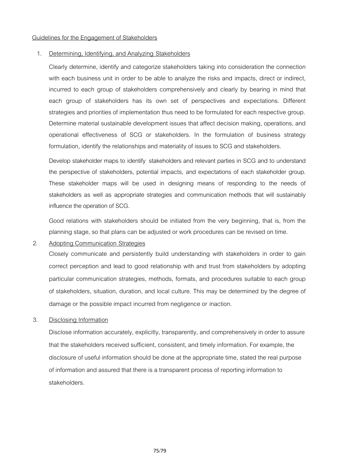#### Guidelines for the Engagement of Stakeholders

#### 1. Determining, Identifying, and Analyzing Stakeholders

Clearly determine, identify and categorize stakeholders taking into consideration the connection with each business unit in order to be able to analyze the risks and impacts, direct or indirect, incurred to each group of stakeholders comprehensively and clearly by bearing in mind that each group of stakeholders has its own set of perspectives and expectations. Different strategies and priorities of implementation thus need to be formulated for each respective group. Determine material sustainable development issues that affect decision making, operations, and operational effectiveness of SCG or stakeholders. In the formulation of business strategy formulation, identify the relationships and materiality of issues to SCG and stakeholders.

Develop stakeholder maps to identify stakeholders and relevant parties in SCG and to understand the perspective of stakeholders, potential impacts, and expectations of each stakeholder group. These stakeholder maps will be used in designing means of responding to the needs of stakeholders as well as appropriate strategies and communication methods that will sustainably influence the operation of SCG.

Good relations with stakeholders should be initiated from the very beginning, that is, from the planning stage, so that plans can be adjusted or work procedures can be revised on time.

2. Adopting Communication Strategies

Closely communicate and persistently build understanding with stakeholders in order to gain correct perception and lead to good relationship with and trust from stakeholders by adopting particular communication strategies, methods, formats, and procedures suitable to each group of stakeholders, situation, duration, and local culture. This may be determined by the degree of damage or the possible impact incurred from negligence or inaction.

### 3. Disclosing Information

Disclose information accurately, explicitly, transparently, and comprehensively in order to assure that the stakeholders received sufficient, consistent, and timely information. For example, the disclosure of useful information should be done at the appropriate time, stated the real purpose of information and assured that there is a transparent process of reporting information to stakeholders.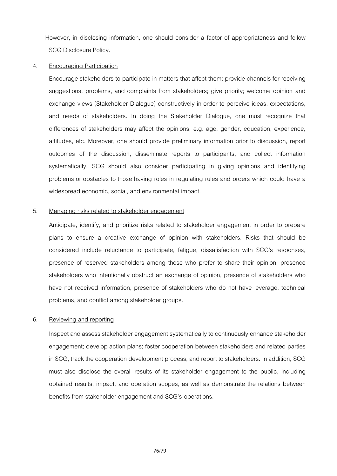However, in disclosing information, one should consider a factor of appropriateness and follow SCG Disclosure Policy.

### 4. Encouraging Participation

Encourage stakeholders to participate in matters that affect them; provide channels for receiving suggestions, problems, and complaints from stakeholders; give priority; welcome opinion and exchange views (Stakeholder Dialogue) constructively in order to perceive ideas, expectations, and needs of stakeholders. In doing the Stakeholder Dialogue, one must recognize that differences of stakeholders may affect the opinions, e.g. age, gender, education, experience, attitudes, etc. Moreover, one should provide preliminary information prior to discussion, report outcomes of the discussion, disseminate reports to participants, and collect information systematically. SCG should also consider participating in giving opinions and identifying problems or obstacles to those having roles in regulating rules and orders which could have a widespread economic, social, and environmental impact.

#### 5. Managing risks related to stakeholder engagement

Anticipate, identify, and prioritize risks related to stakeholder engagement in order to prepare plans to ensure a creative exchange of opinion with stakeholders. Risks that should be considered include reluctance to participate, fatigue, dissatisfaction with SCG's responses, presence of reserved stakeholders among those who prefer to share their opinion, presence stakeholders who intentionally obstruct an exchange of opinion, presence of stakeholders who have not received information, presence of stakeholders who do not have leverage, technical problems, and conflict among stakeholder groups.

### 6. Reviewing and reporting

Inspect and assess stakeholder engagement systematically to continuously enhance stakeholder engagement; develop action plans; foster cooperation between stakeholders and related parties in SCG, track the cooperation development process, and report to stakeholders. In addition, SCG must also disclose the overall results of its stakeholder engagement to the public, including obtained results, impact, and operation scopes, as well as demonstrate the relations between benefits from stakeholder engagement and SCG's operations.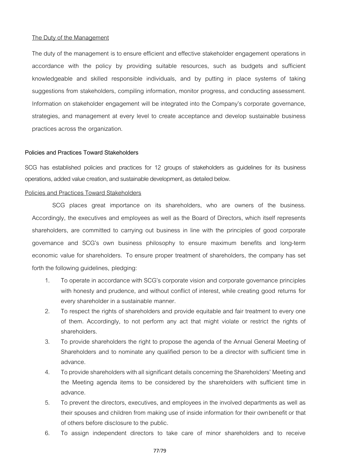#### The Duty of the Management

The duty of the management is to ensure efficient and effective stakeholder engagement operations in accordance with the policy by providing suitable resources, such as budgets and sufficient knowledgeable and skilled responsible individuals, and by putting in place systems of taking suggestions from stakeholders, compiling information, monitor progress, and conducting assessment. Information on stakeholder engagement will be integrated into the Company's corporate governance, strategies, and management at every level to create acceptance and develop sustainable business practices across the organization.

#### **Policiesand Practices Toward Stakeholders**

SCG has established policies and practices for 12 groups of stakeholders as guidelines for its business operations, added value creation, and sustainable development, as detailed below.

#### Policies and Practices Toward Stakeholders

SCG places great importance on its shareholders, who are owners of the business. Accordingly, the executives and employees as well as the Board of Directors, which itself represents shareholders, are committed to carrying out business in line with the principles of good corporate governance and SCG's own business philosophy to ensure maximum benefits and long-term economic value for shareholders. To ensure proper treatment of shareholders, the company has set forth the following guidelines, pledging:

- 1. To operate in accordance with SCG's corporate vision and corporate governance principles with honesty and prudence, and without conflict of interest, while creating good returns for every shareholder in a sustainable manner.
- 2. To respect the rights of shareholders and provide equitable and fair treatment to every one of them. Accordingly, to not perform any act that might violate or restrict the rights of shareholders.
- 3. To provide shareholders the right to propose the agenda of the Annual General Meeting of Shareholders and to nominate any qualified person to be a director with sufficient time in advance.
- 4. To provide shareholders with all significant details concerning the Shareholders' Meeting and the Meeting agenda items to be considered by the shareholders with sufficient time in advance.
- 5. To prevent the directors, executives, and employees in the involved departments as well as their spouses and children from making use of inside information for their ownbenefit or that of others before disclosure to the public.
- 6. To assign independent directors to take care of minor shareholders and to receive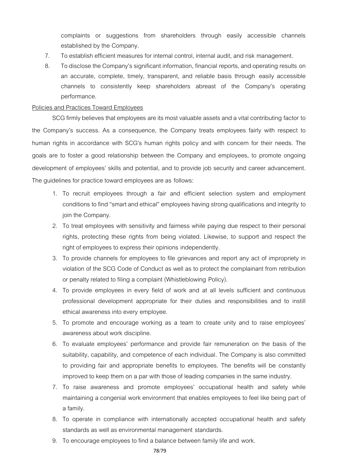complaints or suggestions from shareholders through easily accessible channels established by the Company.

- 7. To establish efficient measures for internal control, internal audit, and risk management.
- 8. To disclose the Company's significant information, financial reports, and operating results on an accurate, complete, timely, transparent, and reliable basis through easily accessible channels to consistently keep shareholders abreast of the Company's operating performance.

#### Policies and Practices Toward Employees

SCG firmly believes that employees are its most valuable assets and a vital contributing factor to the Company's success. As a consequence, the Company treats employees fairly with respect to human rights in accordance with SCG's human rights policy and with concern for their needs. The goals are to foster a good relationship between the Company and employees, to promote ongoing development of employees' skills and potential, and to provide job security and career advancement. The guidelines for practice toward employees are as follows:

- 1. To recruit employees through a fair and efficient selection system and employment conditions tofind "smartand ethical"employeeshaving strong qualifications and integrity to join the Company.
- 2. To treat employees with sensitivity and fairness while paying due respect to their personal rights, protecting these rights from being violated. Likewise, to support and respect the right of employees to express their opinions independently.
- 3. To provide channels for employees to file grievances and report any act of impropriety in violation of the SCG Code of Conduct as well as to protect the complainant from retribution or penalty related to filing a complaint (Whistleblowing Policy).
- 4. To provide employees in every field of work and at all levels sufficient and continuous professional development appropriate for their duties and responsibilities and to instill ethical awareness into every employee.
- 5. To promote and encourage working as a team to create unity and to raise employees' awareness about work discipline.
- 6. To evaluate employees' performance and provide fair remuneration on the basis of the suitability, capability, and competence of each individual. The Company is also committed to providing fair and appropriate benefits to employees. The benefits will be constantly improved to keep them on a par with those of leading companies in the same industry.
- 7. To raise awareness and promote employees' occupational health and safety while maintaining a congenial work environment that enables employees to feel like being part of a family.
- 8. To operate in compliance with internationally accepted occupational health and safety standards as well as environmental management standards.
- 9. To encourage employees to find a balance between family life and work.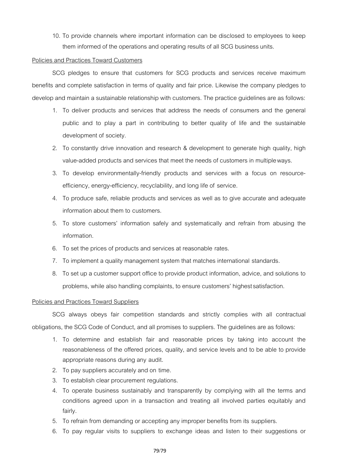10. To provide channels where important information can be disclosed to employees to keep them informed of the operations and operating results of all SCG business units.

### Policies and Practices Toward Customers

SCG pledges to ensure that customers for SCG products and services receive maximum benefits and complete satisfaction in terms of quality and fair price. Likewise the company pledges to develop and maintain a sustainable relationship with customers. The practice guidelines are as follows:

- 1. To deliver products and services that address the needs of consumers and the general public and to play a part in contributing to better quality of life and the sustainable development of society.
- 2. To constantly drive innovation and research & development to generate high quality, high value-added products and services that meet the needs of customers in multipleways.
- 3. To develop environmentally-friendly products and services with a focus on resourceefficiency, energy-efficiency, recyclability, and long life of service.
- 4. To produce safe, reliable products and services as well as to give accurate and adequate information about them to customers.
- 5. To store customers' information safely and systematically and refrain from abusing the information.
- 6. To set the prices of products and services at reasonable rates.
- 7. To implement a quality management system that matches international standards.
- 8. Tosetup acustomer support office to provide product information, advice, and solutions to problems, while also handling complaints, to ensure customers' highestsatisfaction.

### Policies and Practices Toward Suppliers

SCG always obeys fair competition standards and strictly complies with all contractual obligations, the SCG Code of Conduct, and all promises to suppliers. The guidelines are as follows:

- 1. To determine and establish fair and reasonable prices by taking into account the reasonableness of the offered prices, quality, and service levels and to be able to provide appropriate reasons during any audit.
- 2. To pay suppliers accurately and on time.
- 3. To establish clear procurement regulations.
- 4. To operate business sustainably and transparently by complying with all the terms and conditions agreed upon in a transaction and treating all involved parties equitably and fairly.
- 5. To refrain from demanding or accepting any improper benefits from its suppliers.
- 6. To pay regular visits to suppliers to exchange ideas and listen to their suggestions or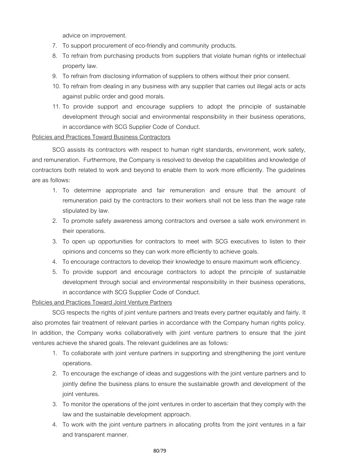advice on improvement.

- 7. To support procurement of eco-friendly and community products.
- 8. To refrain from purchasing products from suppliers that violate human rights or intellectual property law.
- 9. To refrain from disclosing information of suppliers to others without their prior consent.
- 10. To refrain from dealing in any business with any supplier that carries out illegal acts or acts against public order and good morals.
- 11. To provide support and encourage suppliers to adopt the principle of sustainable development through social and environmental responsibility in their business operations, in accordance with SCG Supplier Code of Conduct.

## Policies and Practices Toward Business Contractors

SCG assists its contractors with respect to human right standards, environment, work safety, and remuneration. Furthermore, the Company is resolved to develop the capabilities and knowledge of contractors both related to work and beyond to enable them to work more efficiently. The guidelines are as follows:

- 1. To determine appropriate and fair remuneration and ensure that the amount of remuneration paid by the contractors to their workers shall not be less than the wage rate stipulated by law.
- 2. To promote safety awareness among contractors and oversee a safe work environment in their operations.
- 3. To open up opportunities for contractors to meet with SCG executives to listen to their opinions and concerns so they can work more efficiently to achieve goals.
- 4. To encourage contractors to develop their knowledge to ensure maximum work efficiency.
- 5. To provide support and encourage contractors to adopt the principle of sustainable development through social and environmental responsibility in their business operations, in accordance with SCG Supplier Code of Conduct.

# Policies and Practices Toward Joint Venture Partners

SCG respects the rights of joint venture partners and treats every partner equitably and fairly. It also promotes fair treatment of relevant parties in accordance with the Company human rights policy. In addition, the Company works collaboratively with joint venture partners to ensure that the joint ventures achieve the shared goals. The relevant guidelines are as follows:

- 1. To collaborate with joint venture partners in supporting and strengthening the joint venture operations.
- 2. To encourage the exchange of ideas and suggestions with thejoint venture partners and to jointly define the business plans to ensure the sustainable growth and development of the joint ventures.
- 3. To monitor the operations of the joint ventures in order to ascertain that they comply with the law and the sustainable development approach.
- 4. To work with the joint venture partners in allocating profits from the joint ventures in a fair and transparent manner.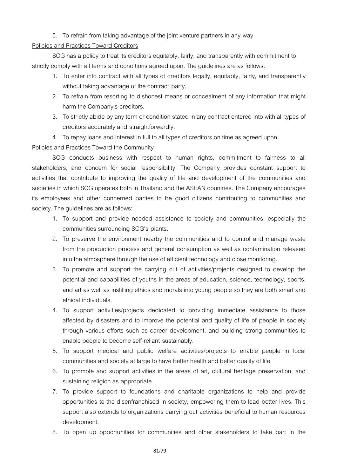# 5. To refrain from taking advantage of the joint venture partners in any way.

## Policies and Practices Toward Creditors

SCG has a policy to treat its creditors equitably, fairly, and transparently with commitment to strictly comply with all terms and conditions agreed upon. The guidelines are as follows:

- 1. To enter into contract with all types of creditors legally, equitably, fairly, and transparently without taking advantage of the contract party.
- 2. To refrain from resorting to dishonest means or concealment of any information that might harm the Company's creditors.
- 3. Tostrictlyabide byany term orcondition stated inanycontract entered into withall types of creditors accurately and straightforwardly.
- 4. To repay loans and interest in full to all types of creditors on time as agreed upon.

# Policies and Practices Toward the Community

SCG conducts business with respect to human rights, commitment to fairness to all stakeholders, and concern for social responsibility. The Company provides constant support to activities that contribute to improving the quality of life and development of the communities and societies in which SCG operates both in Thailand and the ASEAN countries. The Company encourages its employees and other concerned parties to be good citizens contributing to communities and society. The guidelines are as follows:

- 1. To support and provide needed assistance to society and communities, especially the communities surrounding SCG's plants.
- 2. To preserve the environment nearby the communities and to control and manage waste from the production process and general consumption as well as contamination released into the atmosphere through the use of efficient technology and close monitoring.
- 3. To promote and support the carrying out of activities/projects designed to develop the potential and capabilities of youths in the areas of education, science, technology, sports, and art as well as instilling ethics and morals into young people so they are both smart and ethical individuals.
- 4. To support activities/projects dedicated to providing immediate assistance to those affected by disasters and to improve the potential and quality of life of people in society through various efforts such as career development, and building strong communities to enable people to become self-reliant sustainably.
- 5. To support medical and public welfare activities/projects to enable people in local communities and society at large to have better health and better quality of life.
- 6. To promote and support activities in the areas of art, cultural heritage preservation, and sustaining religion as appropriate.
- 7. To provide support to foundations and charitable organizations to help and provide opportunities to the disenfranchised in society, empowering them to lead better lives. This support also extends to organizations carrying out activities beneficial to human resources development.
- 8. To open up opportunities for communities and other stakeholders to take part in the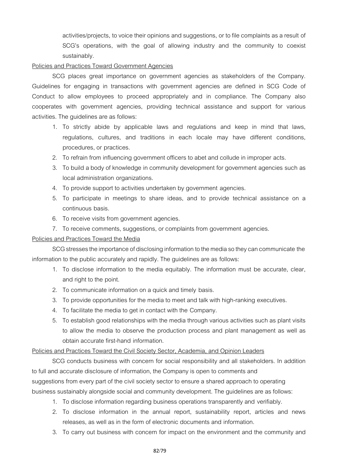activities/projects, to voice their opinions and suggestions, or to file complaints as a result of SCG's operations, with the goal of allowing industry and the community to coexist sustainably.

# Policies and Practices Toward Government Agencies

SCG places great importance on government agencies as stakeholders of the Company. Guidelines for engaging in transactions with government agencies are defined in SCG Code of Conduct to allow employees to proceed appropriately and in compliance. The Company also cooperates with government agencies, providing technical assistance and support for various activities. The guidelines are as follows:

- 1. To strictly abide by applicable laws and regulations and keep in mind that laws, regulations, cultures, and traditions in each locale may have different conditions, procedures, or practices.
- 2. To refrain from influencing government officers to abet and collude in improper acts.
- 3. To build a body of knowledge in community development for government agencies such as local administration organizations.
- 4. To provide support to activities undertaken by government agencies.
- 5. To participate in meetings to share ideas, and to provide technical assistance on a continuous basis.
- 6. To receive visits from government agencies.
- 7. To receive comments, suggestions, or complaints from government agencies.

# Policies and Practices Toward the Media

SCG stresses the importance of disclosing information to the media so they can communicate the information to the public accurately and rapidly. The guidelines are as follows:

- 1. To disclose information to the media equitably. The information must be accurate, clear, and right to the point.
- 2. To communicate information on a quick and timely basis.
- 3. To provide opportunities for the media to meet and talk with high-ranking executives.
- 4. To facilitate the media to get in contact with the Company.
- 5. To establish good relationships with the media through various activities such as plant visits to allow the media to observe the production process and plant management as well as obtain accurate first-hand information.

# Policies and Practices Toward the Civil Society Sector, Academia, and Opinion Leaders

SCG conducts business with concern for social responsibility and all stakeholders. In addition to full and accurate disclosure of information, the Company is open to comments and suggestions from every part of the civil society sector to ensure a shared approach to operating business sustainably alongside social and community development. The guidelines are as follows:

- 1. To disclose information regarding business operations transparently and verifiably.
- 2. To disclose information in the annual report, sustainability report, articles and news releases, as well as in the form of electronic documents and information.
- 3. To carry out business with concern for impact on the environment and the community and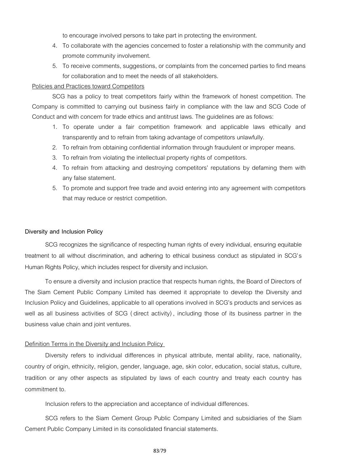to encourage involved persons to take part in protecting the environment.

- 4. To collaborate with the agencies concerned to foster a relationship with the community and promote community involvement.
- 5. To receive comments, suggestions, or complaints from the concerned parties to find means for collaboration and to meet the needs of all stakeholders.

### Policies and Practices toward Competitors

SCG has a policy to treat competitors fairly within the framework of honest competition. The Company is committed to carrying out business fairly in compliance with the law and SCG Code of Conduct and with concern for trade ethics and antitrust laws. The guidelines are as follows:

- 1. To operate under a fair competition framework and applicable laws ethically and transparently and to refrain from taking advantage of competitors unlawfully.
- 2. To refrain from obtaining confidential information through fraudulent or improper means.
- 3. To refrain from violating the intellectual property rights of competitors.
- 4. To refrain from attacking and destroying competitors' reputations by defaming them with any false statement.
- 5. To promote and support free trade and avoid entering into any agreement with competitors that may reduce or restrict competition.

#### **Diversity and Inclusion Policy**

SCG recognizes the significance of respecting human rights of every individual, ensuring equitable treatment to all without discrimination, and adhering to ethical business conduct as stipulated in SCG's Human Rights Policy, which includes respect for diversity and inclusion.

To ensure a diversity and inclusion practice that respects human rights, the Board of Directors of The Siam Cement Public Company Limited has deemed it appropriate to develop the Diversity and Inclusion Policy and Guidelines, applicable to all operations involved in SCG's products and services as well as all business activities of SCG ( direct activity) , including those of its business partner in the business value chain and joint ventures.

#### Definition Terms in the Diversity and Inclusion Policy

Diversity refers to individual differences in physical attribute, mental ability, race, nationality, country of origin, ethnicity, religion, gender, language, age, skin color, education, social status, culture, tradition or any other aspects as stipulated by laws of each country and treaty each country has commitment to.

Inclusion refers to the appreciation and acceptance of individual differences.

SCG refers to the Siam Cement Group Public Company Limited and subsidiaries of the Siam Cement Public Company Limited in its consolidated financial statements.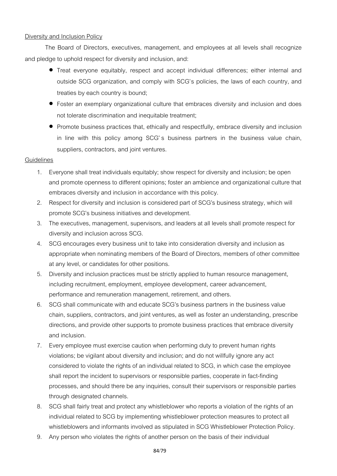# Diversity and Inclusion Policy

The Board of Directors, executives, management, and employees at all levels shall recognize and pledge to uphold respect for diversity and inclusion, and:

- Treat everyone equitably, respect and accept individual differences; either internal and outside SCG organization, and comply with SCG's policies, the laws of each country, and treaties by each country is bound;
- Foster an exemplary organizational culture that embraces diversity and inclusion and does not tolerate discrimination and inequitable treatment;
- Promote business practices that, ethically and respectfully, embrace diversity and inclusion in line with this policy among SCG's business partners in the business value chain, suppliers, contractors, and joint ventures.

## **Guidelines**

- 1. Everyone shall treat individuals equitably; show respect for diversity and inclusion; be open and promote openness to different opinions; foster an ambience and organizational culture that embraces diversity and inclusion in accordance with this policy.
- 2. Respect for diversity and inclusion is considered part of SCG's business strategy, which will promote SCG's business initiatives and development.
- 3. The executives, management, supervisors, and leaders at all levels shall promote respect for diversity and inclusion across SCG.
- 4. SCG encourages every business unit to take into consideration diversity and inclusion as appropriate when nominating members of the Board of Directors, members of other committee at any level, or candidates for other positions.
- 5. Diversity and inclusion practices must be strictly applied to human resource management, including recruitment, employment, employee development, career advancement, performance and remuneration management, retirement, and others.
- 6. SCG shall communicate with and educate SCG's business partners in the business value chain, suppliers, contractors, and joint ventures, as well as foster an understanding, prescribe directions, and provide other supports to promote business practices that embrace diversity and inclusion.
- 7. Every employee must exercise caution when performing duty to prevent human rights violations; be vigilant about diversity and inclusion; and do not willfully ignore any act considered to violate the rights of an individual related to SCG, in which case the employee shall report the incident to supervisors or responsible parties, cooperate in fact-finding processes, and should there be any inquiries, consult their supervisors or responsible parties through designated channels.
- 8. SCG shall fairly treat and protect any whistleblower who reports a violation of the rights of an individual related to SCG by implementing whistleblower protection measures to protect all whistleblowers and informants involved as stipulated in SCG Whistleblower Protection Policy.
- 9. Any person who violates the rights of another person on the basis of their individual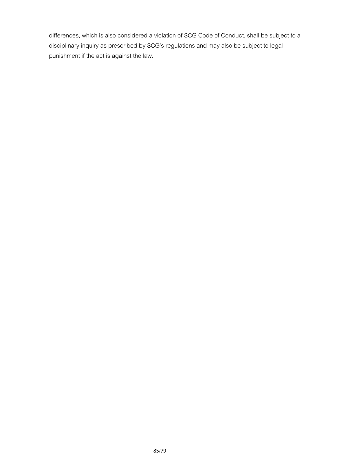differences, which is also considered a violation of SCG Code of Conduct, shall be subject to a disciplinary inquiry as prescribed by SCG's regulations and may also be subject to legal punishment if the act is against the law.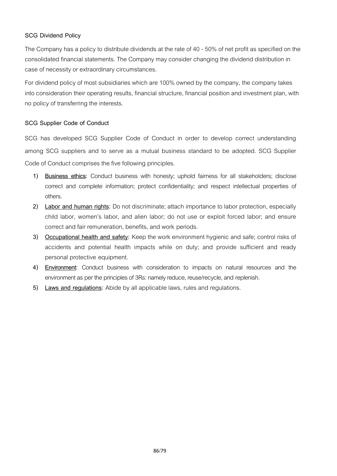# **SCG Dividend Policy**

The Company has a policy to distribute dividends at the rate of 40 - 50% of net profit as specified on the consolidated financial statements. The Company may consider changing the dividend distribution in case of necessity or extraordinary circumstances.

For dividend policy of most subsidiaries which are 100% owned by the company, the company takes into consideration their operating results, financial structure, financial position and investment plan, with no policy of transferring the interests.

# **SCG Supplier Code of Conduct**

SCG has developed SCG Supplier Code of Conduct in order to develop correct understanding among SCG suppliers and to serve as a mutual business standard to be adopted. SCG Supplier Code of Conduct comprises the five following principles.

- **1) Business ethics:** Conduct business with honesty; uphold fairness for all stakeholders; disclose correct and complete information; protect confidentiality; and respect intellectual properties of others.
- **2) Labor and human rights:** Do not discriminate; attach importance to labor protection, especially child labor, women's labor, and alien labor; do not use or exploit forced labor; and ensure correct and fair remuneration, benefits, and work periods.
- **3) Occupational health and safety:** Keep the work environment hygienic and safe; control risks of accidents and potential health impacts while on duty; and provide sufficient and ready personal protective equipment.
- **4) Environment:** Conduct business with consideration to impacts on natural resources and the environment as per the principles of 3Rs: namely reduce, reuse/recycle, and replenish.
- **5) Laws and regulations:** Abide by all applicable laws, rules and regulations.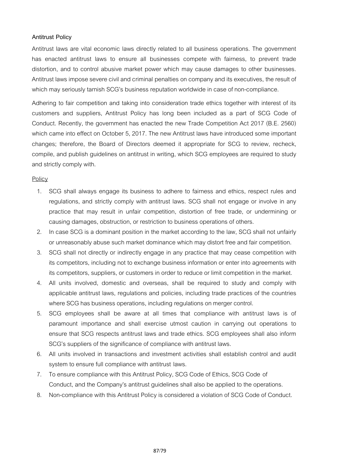## **Antitrust Policy**

Antitrust laws are vital economic laws directly related to all business operations. The government has enacted antitrust laws to ensure all businesses compete with fairness, to prevent trade distortion, and to control abusive market power which may cause damages to other businesses. Antitrust laws impose severe civil and criminal penalties on company and its executives, the result of which may seriously tarnish SCG's business reputation worldwide in case of non-compliance.

Adhering to fair competition and taking into consideration trade ethics together with interest of its customers and suppliers, Antitrust Policy has long been included as a part of SCG Code of Conduct. Recently, the government has enacted the new Trade Competition Act 2017 (B.E. 2560) which came into effect on October 5, 2017. The new Antitrust laws have introduced some important changes; therefore, the Board of Directors deemed it appropriate for SCG to review, recheck, compile, and publish guidelines on antitrust in writing, which SCG employees are required to study and strictly comply with.

## Policy

- 1. SCG shall always engage its business to adhere to fairness and ethics, respect rules and regulations, and strictly comply with antitrust laws. SCG shall not engage or involve in any practice that may result in unfair competition, distortion of free trade, or undermining or causing damages, obstruction, or restriction to business operations of others.
- 2. In case SCG is a dominant position in the market according to the law, SCG shall not unfairly or unreasonably abuse such market dominance which may distort free and fair competition.
- 3. SCG shall not directly or indirectly engage in any practice that may cease competition with its competitors, including not to exchange business information or enter into agreements with its competitors, suppliers, or customers in order to reduce or limit competition in the market.
- 4. All units involved, domestic and overseas, shall be required to study and comply with applicable antitrust laws, regulations and policies, including trade practices of the countries where SCG has business operations, including regulations on merger control.
- 5. SCG employees shall be aware at all times that compliance with antitrust laws is of paramount importance and shall exercise utmost caution in carrying out operations to ensure that SCG respects antitrust laws and trade ethics. SCG employees shall also inform SCG's suppliers of the significance of compliance with antitrust laws.
- 6. All units involved in transactions and investment activities shall establish control and audit system to ensure full compliance with antitrust laws.
- 7. To ensure compliance with this Antitrust Policy, SCG Code of Ethics, SCG Code of Conduct, and the Company's antitrust guidelines shall also be applied to the operations.
- 8. Non-compliance with this Antitrust Policy is considered a violation of SCG Code of Conduct.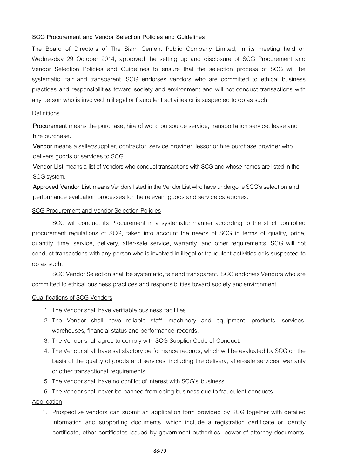#### **SCG Procurement and Vendor Selection Policies and Guidelines**

The Board of Directors of The Siam Cement Public Company Limited, in its meeting held on Wednesday 29 October 2014, approved the setting up and disclosure of SCG Procurement and Vendor Selection Policies and Guidelines to ensure that the selection process of SCG will be systematic, fair and transparent. SCG endorses vendors who are committed to ethical business practices and responsibilities toward society and environment and will not conduct transactions with any person who is involved in illegal or fraudulent activities or is suspected to do as such.

#### **Definitions**

**Procurement** means the purchase, hire of work, outsource service, transportation service, lease and hire purchase.

**Vendor** means a seller/supplier, contractor, service provider, lessor or hire purchase provider who delivers goods or services to SCG.

**Vendor List** means a list of Vendors who conduct transactions with SCG and whose names are listed in the SCG system.

**Approved Vendor List** means Vendors listed in the Vendor List who have undergone SCG's selection and performance evaluation processes for the relevant goods and service categories.

#### SCG Procurement and Vendor Selection Policies

SCG will conduct its Procurement in a systematic manner according to the strict controlled procurement regulations of SCG, taken into account the needs of SCG in terms of quality, price, quantity, time, service, delivery, after-sale service, warranty, and other requirements. SCG will not conduct transactions withany person whois involved inillegalor fraudulent activities or is suspected to do as such.

SCG Vendor Selection shall be systematic, fair and transparent. SCG endorses Vendors who are committed toethical business practices and responsibilities toward society and environment.

#### Qualifications of SCG Vendors

- 1. The Vendor shall have verifiable business facilities.
- 2. The Vendor shall have reliable staff, machinery and equipment, products, services, warehouses, financial status and performance records.
- 3. The Vendor shall agree to comply with SCG Supplier Code of Conduct.
- 4. The Vendor shall have satisfactory performance records, which will be evaluated by SCG on the basis of the quality of goods and services, including the delivery, after-sale services, warranty or other transactional requirements.
- 5. The Vendor shall have no conflict of interest with SCG's business.
- 6. The Vendor shall never be banned from doing business due to fraudulent conducts.

#### Application

1. Prospective vendors can submit an application form provided by SCG together with detailed information and supporting documents, which include a registration certificate or identity certificate, other certificates issued by government authorities, power of attorney documents,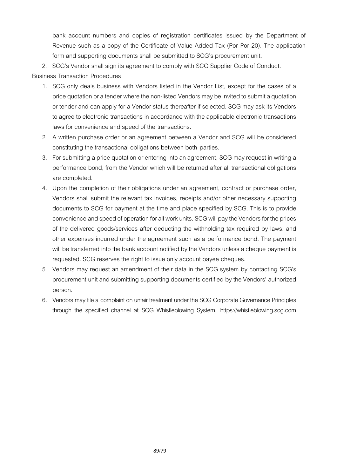bank account numbers and copies of registration certificates issued by the Department of Revenue such as a copy of the Certificate of Value Added Tax (Por Por 20). The application form and supporting documents shall be submitted to SCG's procurement unit.

2. SCG's Vendor shall sign its agreement to comply with SCG Supplier Code of Conduct.

# Business Transaction Procedures

- 1. SCG only deals business with Vendors listed in the Vendor List, except for the cases of a price quotation or a tender where the non-listed Vendors may be invited to submit a quotation or tender and can apply for a Vendor status thereafter if selected. SCG may ask its Vendors to agree to electronic transactions in accordance with the applicable electronic transactions laws for convenience and speed of the transactions.
- 2. A written purchase order or an agreement between a Vendor and SCG will be considered constituting the transactional obligations between both parties.
- 3. For submitting a price quotation or entering into an agreement, SCG may request in writing a performance bond, from the Vendor which will be returned after all transactional obligations are completed.
- 4. Upon the completion of their obligations under an agreement, contract or purchase order, Vendors shall submit the relevant tax invoices, receipts and/or other necessary supporting documents to SCG for payment at the time and place specified by SCG. This is to provide convenience and speed of operation for all work units. SCG will pay the Vendors for the prices of the delivered goods/services after deducting the withholding tax required by laws, and other expenses incurred under the agreement such as a performance bond. The payment will be transferred into the bank account notified by the Vendors unless a cheque payment is requested. SCG reserves the right to issue only account payee cheques.
- 5. Vendors may request an amendment of their data in the SCG system by contacting SCG's procurement unitand submitting supporting documents certified by the Vendors' authorized person.
- 6. Vendors may file a complaint on unfair treatment under the SCG Corporate Governance Principles through the specified channel at SCG Whistleblowing System, https://whistleblowing.scg.com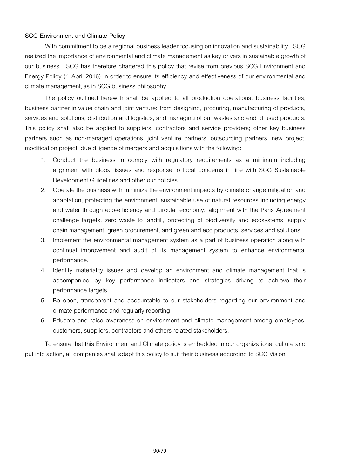## **SCG Environment and Climate Policy**

With commitment to be a regional business leader focusing on innovation and sustainability. SCG realized the importance of environmental and climate management as key drivers in sustainable growth of our business. SCG has therefore chartered this policy that revise from previous SCG Environment and Energy Policy (1 April 2016) in order to ensure its efficiency and effectiveness of our environmental and climate management, as in SCG business philosophy.

The policy outlined herewith shall be applied to all production operations, business facilities, business partner in value chain and joint venture: from designing, procuring, manufacturing of products, services and solutions, distribution and logistics, and managing of our wastes and end of used products. This policy shall also be applied to suppliers, contractors and service providers; other key business partners such as non-managed operations, joint venture partners, outsourcing partners, new project, modification project, due diligence of mergers and acquisitions with the following:

- 1. Conduct the business in comply with regulatory requirements as a minimum including alignment with global issues and response to local concerns in line with SCG Sustainable Development Guidelines and other our policies.
- 2. Operate the business with minimize the environment impacts by climate change mitigation and adaptation, protecting the environment, sustainable use of natural resources including energy and water through eco-efficiency and circular economy: alignment with the Paris Agreement challenge targets, zero waste to landfill, protecting of biodiversity and ecosystems, supply chain management, green procurement, and green and eco products, services and solutions.
- 3. Implement the environmental management system as a part of business operation along with continual improvement and audit of its management system to enhance environmental performance.
- 4. Identify materiality issues and develop an environment and climate management that is accompanied by key performance indicators and strategies driving to achieve their performance targets.
- 5. Be open, transparent and accountable to our stakeholders regarding our environment and climate performance and regularly reporting.
- 6. Educate and raise awareness on environment and climate management among employees, customers, suppliers, contractors and others related stakeholders.

To ensure that this Environment and Climate policy is embedded in our organizational culture and put into action, all companies shall adapt this policy to suit their business according to SCG Vision.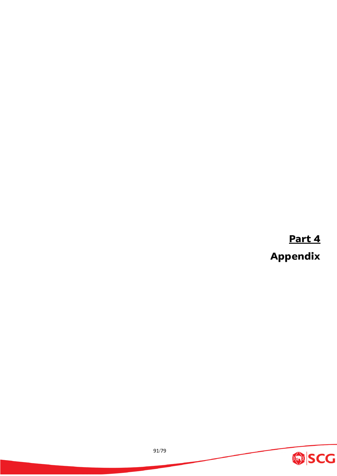**Part 4 Appendix**